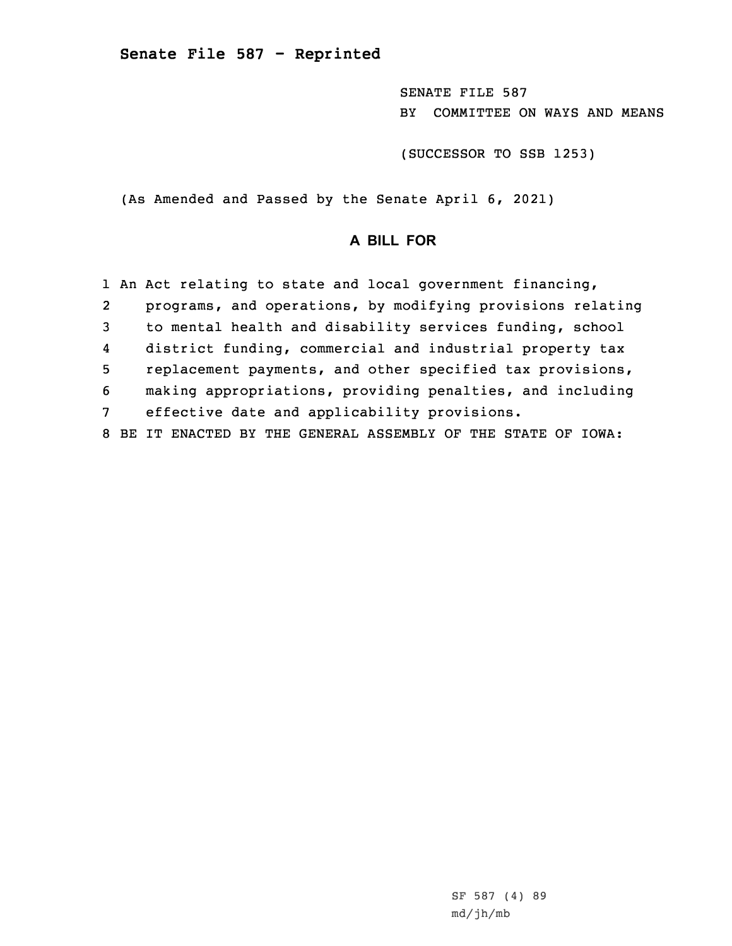SENATE FILE 587 BY COMMITTEE ON WAYS AND MEANS

(SUCCESSOR TO SSB 1253)

(As Amended and Passed by the Senate April 6, 2021)

## **A BILL FOR**

|                 |                | 1 An Act relating to state and local government financing,  |
|-----------------|----------------|-------------------------------------------------------------|
|                 | $\overline{2}$ | programs, and operations, by modifying provisions relating  |
| 3               |                | to mental health and disability services funding, school    |
|                 | 4              | district funding, commercial and industrial property tax    |
|                 | 5              | replacement payments, and other specified tax provisions,   |
|                 | 6              | making appropriations, providing penalties, and including   |
| $7\overline{ }$ |                | effective date and applicability provisions.                |
|                 | 8              | BE IT ENACTED BY THE GENERAL ASSEMBLY OF THE STATE OF IOWA: |

SF 587 (4) 89 md/jh/mb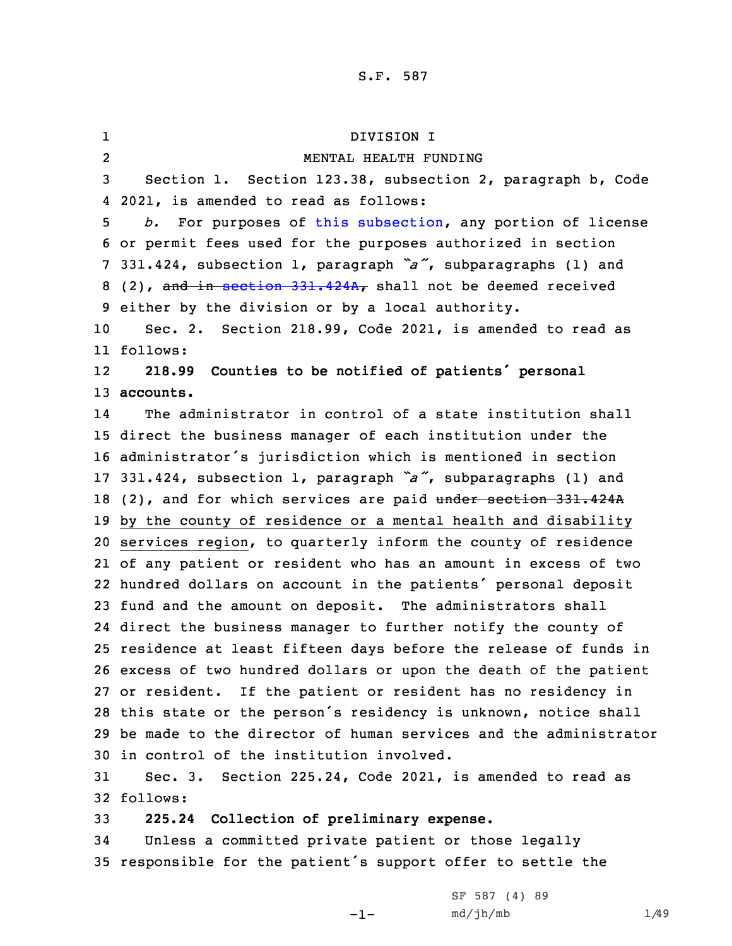1 DIVISION I 2 MENTAL HEALTH FUNDING Section 1. Section 123.38, subsection 2, paragraph b, Code 2021, is amended to read as follows: *b.* For purposes of this [subsection](https://www.legis.iowa.gov/docs/code/2021/123.38.pdf), any portion of license or permit fees used for the purposes authorized in section 331.424, subsection 1, paragraph *"a"*, subparagraphs (1) and 8 (2), and in section [331.424A](https://www.legis.iowa.gov/docs/code/2021/331.424A.pdf), shall not be deemed received either by the division or by <sup>a</sup> local authority. Sec. 2. Section 218.99, Code 2021, is amended to read as 11 follows: 12 **218.99 Counties to be notified of patients' personal accounts.** 14 The administrator in control of <sup>a</sup> state institution shall direct the business manager of each institution under the administrator's jurisdiction which is mentioned in section 331.424, subsection 1, paragraph *"a"*, subparagraphs (1) and 18 (2), and for which services are paid under section 331.424A by the county of residence or <sup>a</sup> mental health and disability services region, to quarterly inform the county of residence of any patient or resident who has an amount in excess of two hundred dollars on account in the patients' personal deposit fund and the amount on deposit. The administrators shall direct the business manager to further notify the county of residence at least fifteen days before the release of funds in excess of two hundred dollars or upon the death of the patient or resident. If the patient or resident has no residency in this state or the person's residency is unknown, notice shall be made to the director of human services and the administrator in control of the institution involved. Sec. 3. Section 225.24, Code 2021, is amended to read as 32 follows: **225.24 Collection of preliminary expense.**

34 Unless <sup>a</sup> committed private patient or those legally <sup>35</sup> responsible for the patient's support offer to settle the

-1-

SF 587 (4) 89  $md/jh/mb$  1/49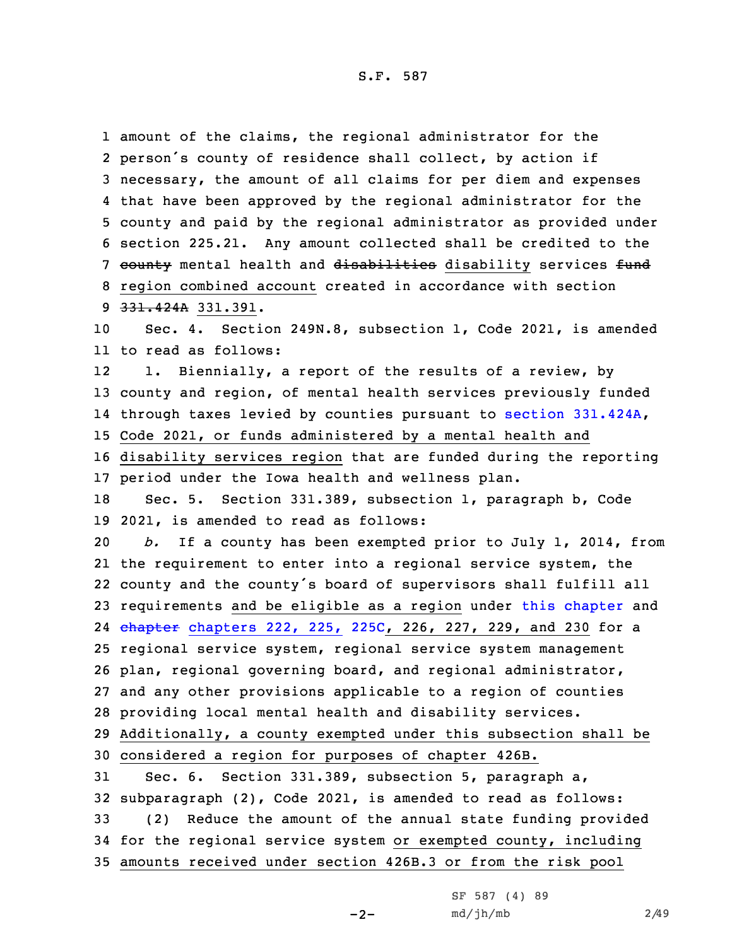amount of the claims, the regional administrator for the person's county of residence shall collect, by action if necessary, the amount of all claims for per diem and expenses that have been approved by the regional administrator for the county and paid by the regional administrator as provided under section 225.21. Any amount collected shall be credited to the 7 county mental health and disabilities disability services fund region combined account created in accordance with section 331.424A 331.391. Sec. 4. Section 249N.8, subsection 1, Code 2021, is amended to read as follows: 12 1. Biennially, <sup>a</sup> report of the results of <sup>a</sup> review, by county and region, of mental health services previously funded through taxes levied by counties pursuant to section [331.424A](https://www.legis.iowa.gov/docs/code/2021/331.424A.pdf), Code 2021, or funds administered by <sup>a</sup> mental health and disability services region that are funded during the reporting period under the Iowa health and wellness plan. Sec. 5. Section 331.389, subsection 1, paragraph b, Code 2021, is amended to read as follows: *b.* If <sup>a</sup> county has been exempted prior to July 1, 2014, from the requirement to enter into <sup>a</sup> regional service system, the county and the county's board of supervisors shall fulfill all requirements and be eligible as <sup>a</sup> region under this [chapter](https://www.legis.iowa.gov/docs/code/2021/331.pdf) and 24 <del>chapter</del> [chapters](https://www.legis.iowa.gov/docs/code/2021/225C.pdf) 222, 225, 225C, 226, 227, 229, and 230 for a regional service system, regional service system management plan, regional governing board, and regional administrator, and any other provisions applicable to <sup>a</sup> region of counties providing local mental health and disability services. Additionally, <sup>a</sup> county exempted under this subsection shall be considered <sup>a</sup> region for purposes of chapter 426B. Sec. 6. Section 331.389, subsection 5, paragraph a, subparagraph (2), Code 2021, is amended to read as follows: (2) Reduce the amount of the annual state funding provided for the regional service system or exempted county, including amounts received under section 426B.3 or from the risk pool

 $-2-$ 

SF 587 (4) 89  $md/jh/mb$  2/49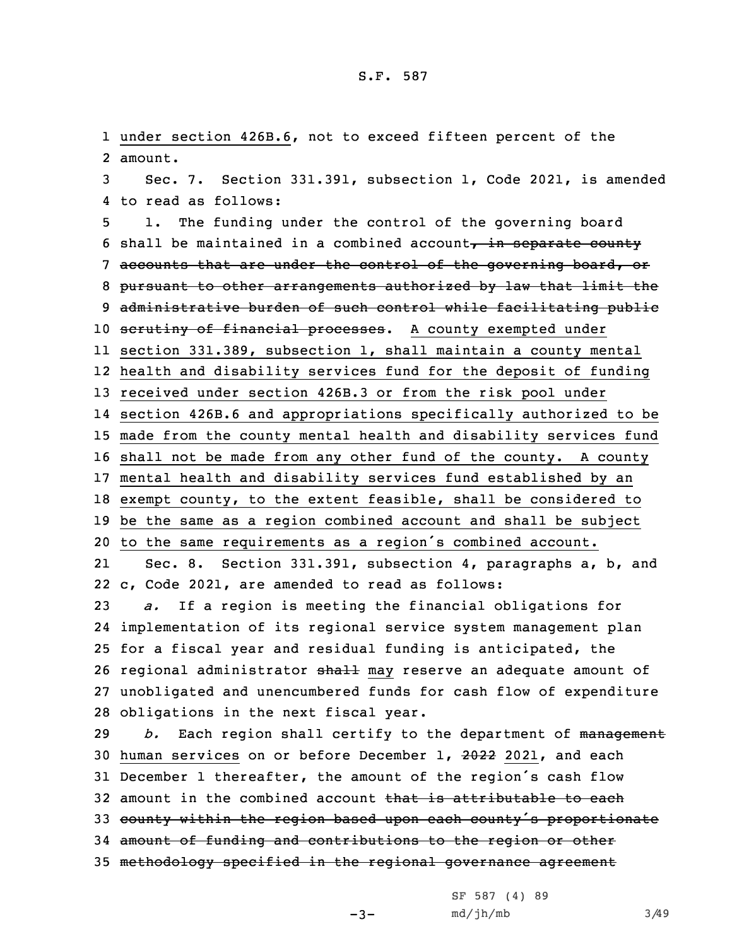1 under section 426B.6, not to exceed fifteen percent of the 2 amount.

3 Sec. 7. Section 331.391, subsection 1, Code 2021, is amended 4 to read as follows:

 1. The funding under the control of the governing board 6 shall be maintained in a combined account, in separate county accounts that are under the control of the governing board, or pursuant to other arrangements authorized by law that limit the administrative burden of such control while facilitating public 10 scrutiny of financial processes. A county exempted under section 331.389, subsection 1, shall maintain <sup>a</sup> county mental health and disability services fund for the deposit of funding received under section 426B.3 or from the risk pool under section 426B.6 and appropriations specifically authorized to be made from the county mental health and disability services fund shall not be made from any other fund of the county. <sup>A</sup> county mental health and disability services fund established by an exempt county, to the extent feasible, shall be considered to be the same as <sup>a</sup> region combined account and shall be subject to the same requirements as <sup>a</sup> region's combined account. 21 Sec. 8. Section 331.391, subsection 4, paragraphs a, b, and c, Code 2021, are amended to read as follows: *a.* If <sup>a</sup> region is meeting the financial obligations for implementation of its regional service system management plan for <sup>a</sup> fiscal year and residual funding is anticipated, the 26 regional administrator shall may reserve an adequate amount of unobligated and unencumbered funds for cash flow of expenditure obligations in the next fiscal year.

*b.* Each region shall certify to the department of management human services on or before December 1, 2022 2021, and each December <sup>1</sup> thereafter, the amount of the region's cash flow 32 amount in the combined account that is attributable to each 33 county within the region based upon each county's proportionate amount of funding and contributions to the region or other methodology specified in the regional governance agreement

-3-

SF 587 (4) 89  $md/jh/mb$  3/49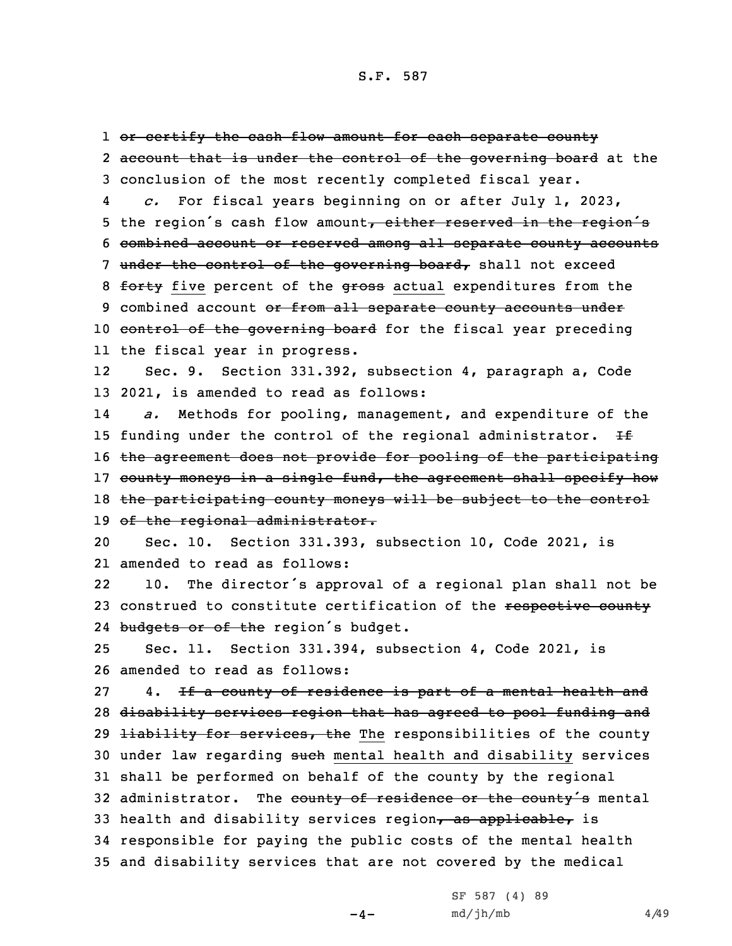1 <del>or certify the cash flow amount for each separate county</del> 2 <del>account that is under the control of the governing board</del> at the 3 conclusion of the most recently completed fiscal year. 4 *c.* For fiscal years beginning on or after July 1, 2023, 5 the region's cash flow amount, either reserved in the region's 6 combined account or reserved among all separate county accounts 7 under the control of the governing board, shall not exceed 8 forty five percent of the gross actual expenditures from the 9 combined account or from all separate county accounts under 10 control of the governing board for the fiscal year preceding 11 the fiscal year in progress. 12 Sec. 9. Section 331.392, subsection 4, paragraph a, Code 13 2021, is amended to read as follows: 14 *a.* Methods for pooling, management, and expenditure of the 15 funding under the control of the regional administrator.  $H$ 16 the agreement does not provide for pooling of the participating 17 county moneys in a single fund, the agreement shall specify how 18 the participating county moneys will be subject to the control 19 of the regional administrator. 20 Sec. 10. Section 331.393, subsection 10, Code 2021, is 21 amended to read as follows: 22 10. The director's approval of <sup>a</sup> regional plan shall not be 23 construed to constitute certification of the respective county 24 budgets or of the region's budget. 25 Sec. 11. Section 331.394, subsection 4, Code 2021, is 26 amended to read as follows: 27 4. If a county of residence is part of a mental health and 28 disability services region that has agreed to pool funding and 29 <del>liability for services, the</del> The responsibilities of the county 30 under law regarding such mental health and disability services 31 shall be performed on behalf of the county by the regional 32 administrator. The county of residence or the county's mental 33 health and disability services region, as applicable, is 34 responsible for paying the public costs of the mental health 35 and disability services that are not covered by the medical

 $-4-$ 

SF 587 (4) 89  $md/jh/mb$  4/49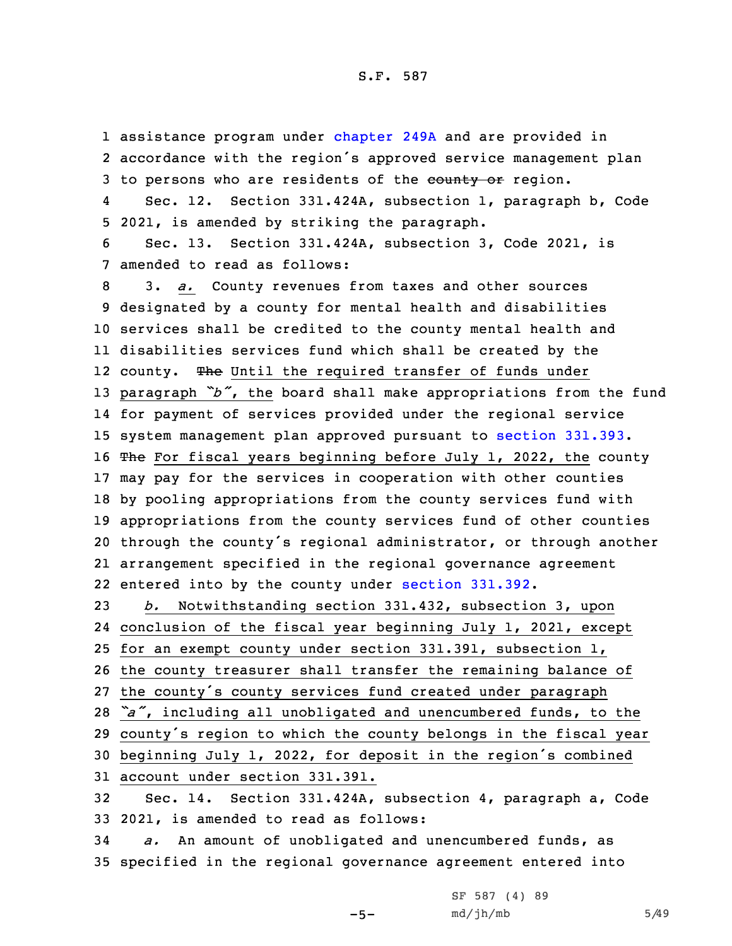1 assistance program under [chapter](https://www.legis.iowa.gov/docs/code/2021/249A.pdf) 249A and are provided in 2 accordance with the region's approved service management plan 3 to persons who are residents of the eounty or region.

4 Sec. 12. Section 331.424A, subsection 1, paragraph b, Code 5 2021, is amended by striking the paragraph.

6 Sec. 13. Section 331.424A, subsection 3, Code 2021, is 7 amended to read as follows:

 3. *a.* County revenues from taxes and other sources designated by <sup>a</sup> county for mental health and disabilities services shall be credited to the county mental health and disabilities services fund which shall be created by the 12 county. The Until the required transfer of funds under paragraph *"b"*, the board shall make appropriations from the fund for payment of services provided under the regional service system management plan approved pursuant to section [331.393](https://www.legis.iowa.gov/docs/code/2021/331.393.pdf). 16 The For fiscal years beginning before July 1, 2022, the county may pay for the services in cooperation with other counties by pooling appropriations from the county services fund with appropriations from the county services fund of other counties through the county's regional administrator, or through another arrangement specified in the regional governance agreement entered into by the county under section [331.392](https://www.legis.iowa.gov/docs/code/2021/331.392.pdf).

 *b.* Notwithstanding section 331.432, subsection 3, upon conclusion of the fiscal year beginning July 1, 2021, except for an exempt county under section 331.391, subsection 1, the county treasurer shall transfer the remaining balance of the county's county services fund created under paragraph *"a"*, including all unobligated and unencumbered funds, to the county's region to which the county belongs in the fiscal year beginning July 1, 2022, for deposit in the region's combined account under section 331.391. Sec. 14. Section 331.424A, subsection 4, paragraph a, Code

33 2021, is amended to read as follows: 34 *a.* An amount of unobligated and unencumbered funds, as

-5-

35 specified in the regional governance agreement entered into

SF 587 (4) 89  $md/jh/mb$  5/49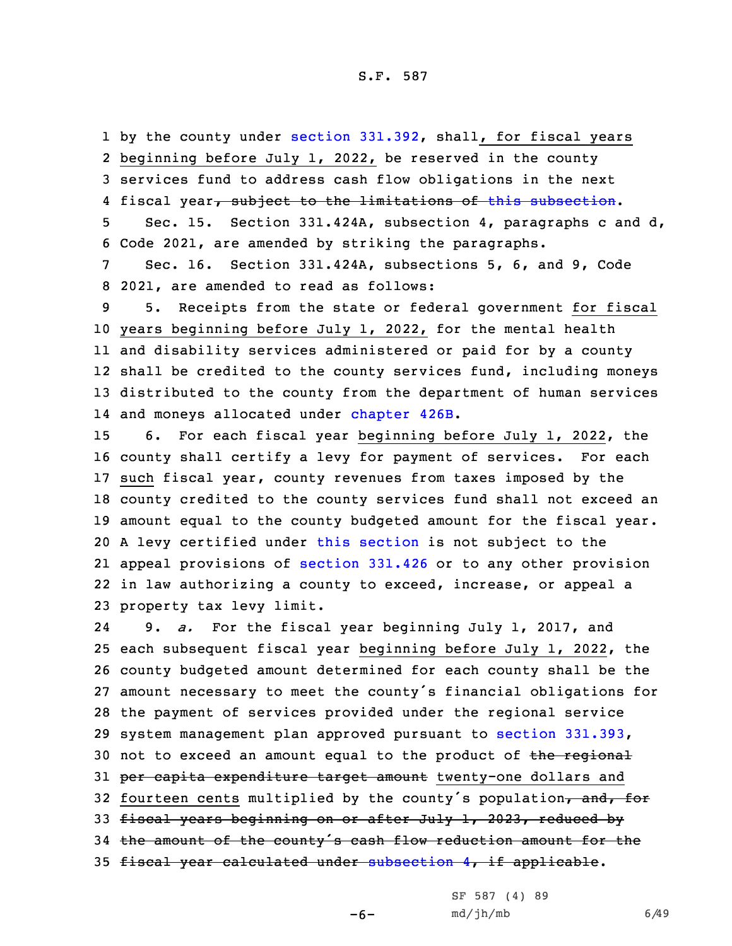1 by the county under section [331.392](https://www.legis.iowa.gov/docs/code/2021/331.392.pdf), shall, for fiscal years 2 beginning before July 1, 2022, be reserved in the county 3 services fund to address cash flow obligations in the next 4 fiscal year<del>, subject to the limitations of this [subsection](https://www.legis.iowa.gov/docs/code/2021/331.424A.pdf)</del>.

5 Sec. 15. Section 331.424A, subsection 4, paragraphs <sup>c</sup> and d, 6 Code 2021, are amended by striking the paragraphs.

7 Sec. 16. Section 331.424A, subsections 5, 6, and 9, Code 8 2021, are amended to read as follows:

 5. Receipts from the state or federal government for fiscal years beginning before July 1, 2022, for the mental health and disability services administered or paid for by <sup>a</sup> county shall be credited to the county services fund, including moneys distributed to the county from the department of human services 14 and moneys allocated under [chapter](https://www.legis.iowa.gov/docs/code/2021/426B.pdf) 426B.

 6. For each fiscal year beginning before July 1, 2022, the county shall certify <sup>a</sup> levy for payment of services. For each such fiscal year, county revenues from taxes imposed by the county credited to the county services fund shall not exceed an amount equal to the county budgeted amount for the fiscal year. <sup>A</sup> levy certified under this [section](https://www.legis.iowa.gov/docs/code/2021/331.424A.pdf) is not subject to the appeal provisions of [section](https://www.legis.iowa.gov/docs/code/2021/331.426.pdf) 331.426 or to any other provision in law authorizing <sup>a</sup> county to exceed, increase, or appeal <sup>a</sup> property tax levy limit.

24 9. *a.* For the fiscal year beginning July 1, 2017, and 25 each subsequent fiscal year beginning before July 1, 2022, the 26 county budgeted amount determined for each county shall be the 27 amount necessary to meet the county's financial obligations for 28 the payment of services provided under the regional service 29 system management plan approved pursuant to section [331.393](https://www.legis.iowa.gov/docs/code/2021/331.393.pdf), 30 not to exceed an amount equal to the product of the regional 31 per capita expenditure target amount twenty-one dollars and 32 fourteen cents multiplied by the county's population, and, for 33 fiscal years beginning on or after July 1, 2023, reduced by <sup>34</sup> the amount of the county's cash flow reduction amount for the 35 fiscal year calculated under [subsection](https://www.legis.iowa.gov/docs/code/2021/331.424A.pdf) 4, if applicable.

-6-

SF 587 (4) 89  $md/jh/mb$  6/49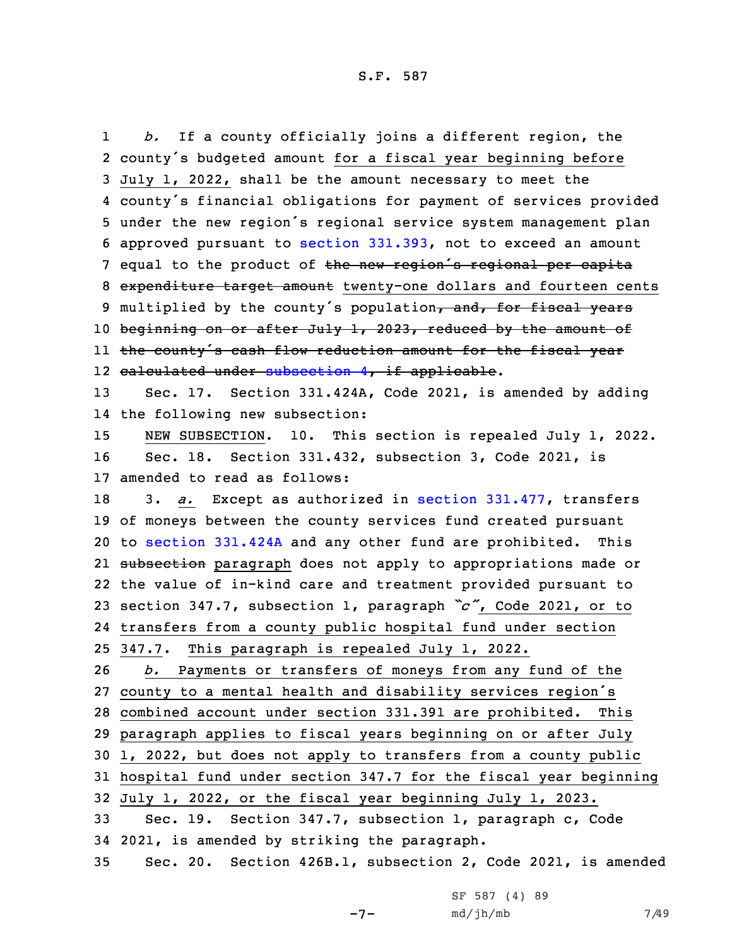1 *b.* If <sup>a</sup> county officially joins <sup>a</sup> different region, the county's budgeted amount for <sup>a</sup> fiscal year beginning before July 1, 2022, shall be the amount necessary to meet the county's financial obligations for payment of services provided under the new region's regional service system management plan approved pursuant to section [331.393](https://www.legis.iowa.gov/docs/code/2021/331.393.pdf), not to exceed an amount 7 equal to the product of the new region's regional per capita 8 expenditure target amount twenty-one dollars and fourteen cents 9 multiplied by the county's population, and, for fiscal years 10 beginning on or after July 1, 2023, reduced by the amount of the county's cash flow reduction amount for the fiscal year 12 <del>calculated under [subsection](https://www.legis.iowa.gov/docs/code/2021/331.424A.pdf) 4, if applicable</del>. Sec. 17. Section 331.424A, Code 2021, is amended by adding the following new subsection: NEW SUBSECTION. 10. This section is repealed July 1, 2022. Sec. 18. Section 331.432, subsection 3, Code 2021, is amended to read as follows: 3. *a.* Except as authorized in section [331.477](https://www.legis.iowa.gov/docs/code/2021/331.477.pdf), transfers of moneys between the county services fund created pursuant to section [331.424A](https://www.legis.iowa.gov/docs/code/2021/331.424A.pdf) and any other fund are prohibited. This 21 <del>subsection</del> paragraph does not apply to appropriations made or the value of in-kind care and treatment provided pursuant to section 347.7, subsection 1, paragraph *"c"*, Code 2021, or to transfers from <sup>a</sup> county public hospital fund under section 347.7. This paragraph is repealed July 1, 2022. *b.* Payments or transfers of moneys from any fund of the county to <sup>a</sup> mental health and disability services region's combined account under section 331.391 are prohibited. This paragraph applies to fiscal years beginning on or after July 1, 2022, but does not apply to transfers from <sup>a</sup> county public hospital fund under section 347.7 for the fiscal year beginning July 1, 2022, or the fiscal year beginning July 1, 2023. Sec. 19. Section 347.7, subsection 1, paragraph c, Code 2021, is amended by striking the paragraph. Sec. 20. Section 426B.1, subsection 2, Code 2021, is amended

 $-7-$ 

SF 587 (4) 89 md/jh/mb 7/49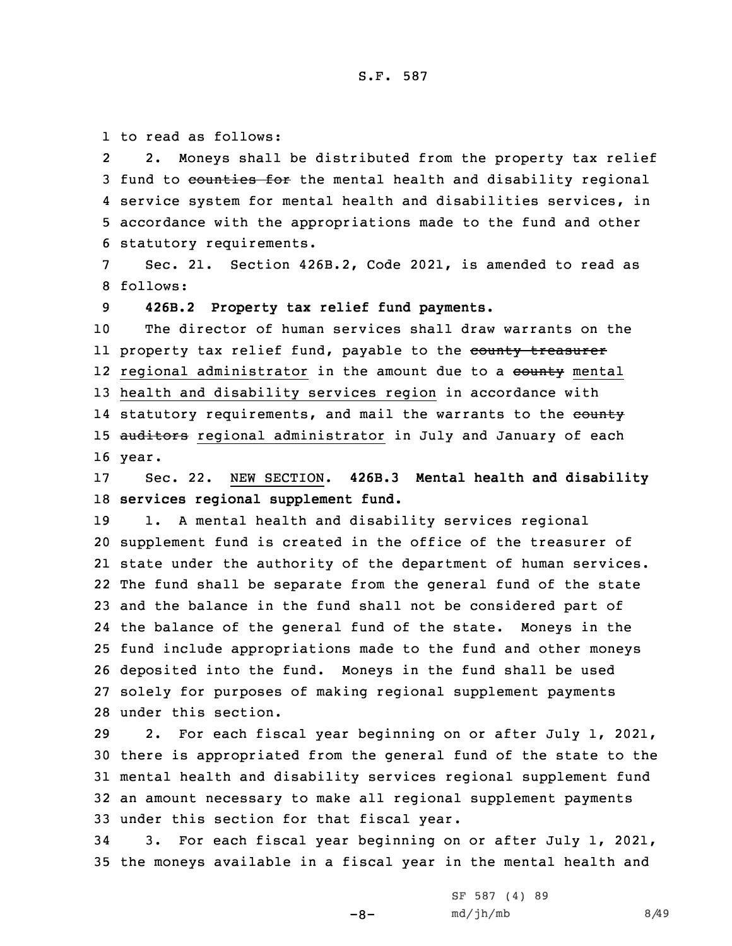1 to read as follows:

2 2. Moneys shall be distributed from the property tax relief 3 fund to counties for the mental health and disability regional 4 service system for mental health and disabilities services, in 5 accordance with the appropriations made to the fund and other 6 statutory requirements.

7 Sec. 21. Section 426B.2, Code 2021, is amended to read as 8 follows:

9 **426B.2 Property tax relief fund payments.**

10 The director of human services shall draw warrants on the ll property tax relief fund, payable to the <del>county treasurer</del> 12 regional administrator in the amount due to a <del>county</del> mental 13 health and disability services region in accordance with 14 statutory requirements, and mail the warrants to the <del>county</del> 15 auditors regional administrator in July and January of each 16 year.

17 Sec. 22. NEW SECTION. **426B.3 Mental health and disability** 18 **services regional supplement fund.**

 1. <sup>A</sup> mental health and disability services regional supplement fund is created in the office of the treasurer of state under the authority of the department of human services. The fund shall be separate from the general fund of the state and the balance in the fund shall not be considered part of the balance of the general fund of the state. Moneys in the fund include appropriations made to the fund and other moneys deposited into the fund. Moneys in the fund shall be used solely for purposes of making regional supplement payments under this section.

 2. For each fiscal year beginning on or after July 1, 2021, there is appropriated from the general fund of the state to the mental health and disability services regional supplement fund an amount necessary to make all regional supplement payments under this section for that fiscal year.

34 3. For each fiscal year beginning on or after July 1, 2021, 35 the moneys available in <sup>a</sup> fiscal year in the mental health and

 $-8-$ 

SF 587 (4) 89  $md/jh/mb$  8/49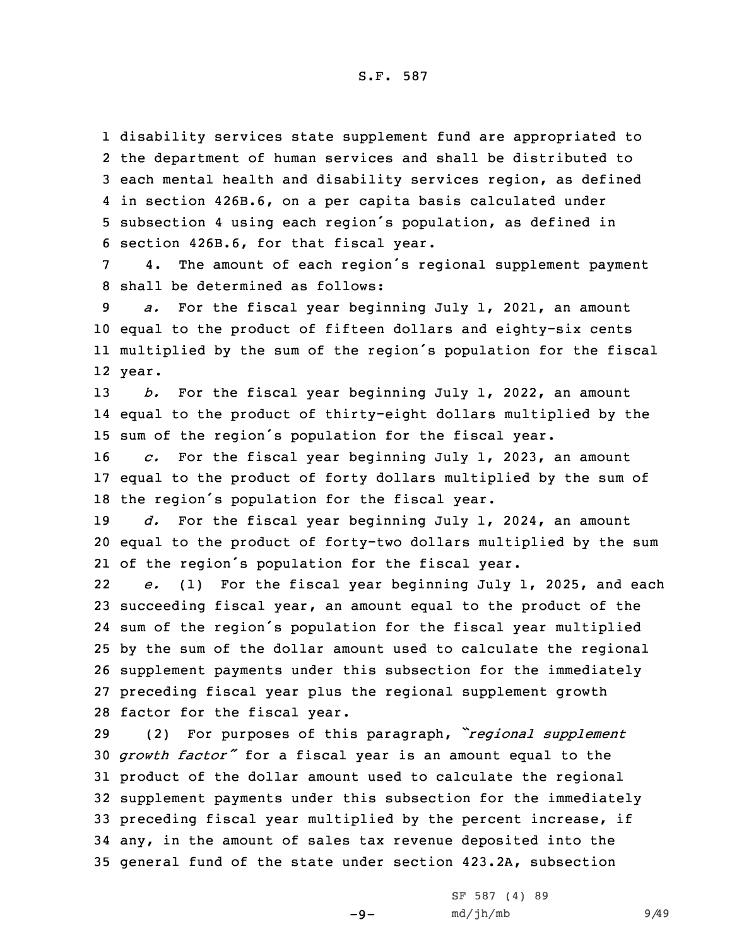disability services state supplement fund are appropriated to the department of human services and shall be distributed to each mental health and disability services region, as defined in section 426B.6, on <sup>a</sup> per capita basis calculated under subsection <sup>4</sup> using each region's population, as defined in section 426B.6, for that fiscal year.

<sup>7</sup> 4. The amount of each region's regional supplement payment 8 shall be determined as follows:

 *a.* For the fiscal year beginning July 1, 2021, an amount equal to the product of fifteen dollars and eighty-six cents multiplied by the sum of the region's population for the fiscal 12 year.

13 *b.* For the fiscal year beginning July 1, 2022, an amount 14 equal to the product of thirty-eight dollars multiplied by the <sup>15</sup> sum of the region's population for the fiscal year.

16 *c.* For the fiscal year beginning July 1, 2023, an amount 17 equal to the product of forty dollars multiplied by the sum of <sup>18</sup> the region's population for the fiscal year.

19 *d.* For the fiscal year beginning July 1, 2024, an amount 20 equal to the product of forty-two dollars multiplied by the sum 21 of the region's population for the fiscal year.

22 *e.* (1) For the fiscal year beginning July 1, 2025, and each succeeding fiscal year, an amount equal to the product of the sum of the region's population for the fiscal year multiplied by the sum of the dollar amount used to calculate the regional supplement payments under this subsection for the immediately preceding fiscal year plus the regional supplement growth factor for the fiscal year.

 (2) For purposes of this paragraph, *"regional supplement growth factor"* for <sup>a</sup> fiscal year is an amount equal to the product of the dollar amount used to calculate the regional supplement payments under this subsection for the immediately preceding fiscal year multiplied by the percent increase, if any, in the amount of sales tax revenue deposited into the general fund of the state under section 423.2A, subsection

 $-9-$ 

SF 587 (4) 89 md/jh/mb 9/49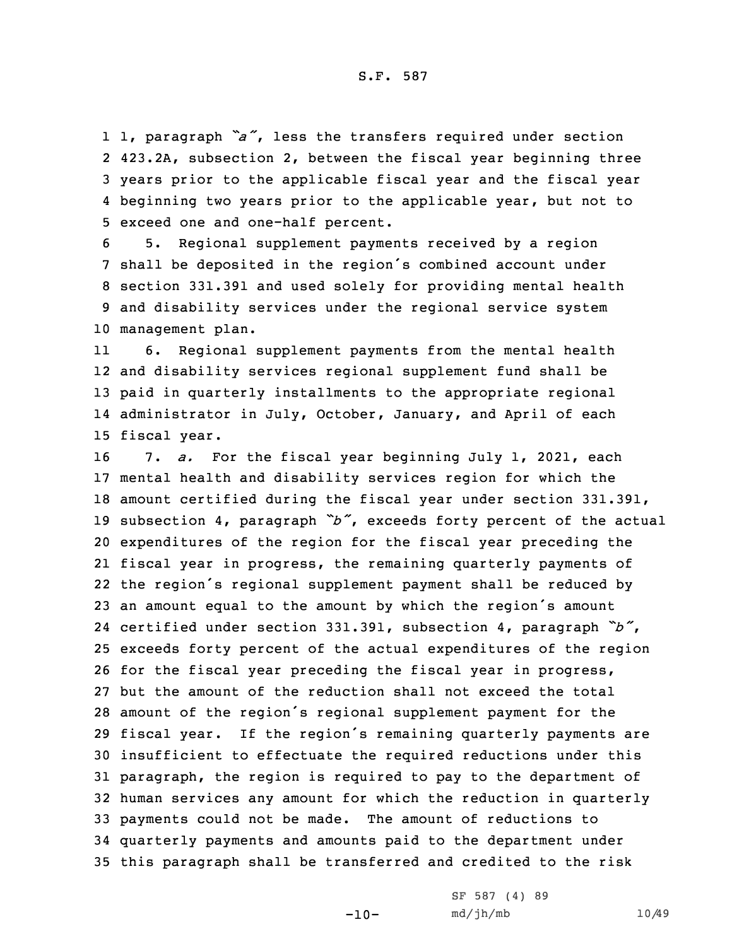1, paragraph *"a"*, less the transfers required under section 423.2A, subsection 2, between the fiscal year beginning three years prior to the applicable fiscal year and the fiscal year beginning two years prior to the applicable year, but not to exceed one and one-half percent.

 5. Regional supplement payments received by <sup>a</sup> region shall be deposited in the region's combined account under section 331.391 and used solely for providing mental health and disability services under the regional service system management plan.

11 6. Regional supplement payments from the mental health and disability services regional supplement fund shall be paid in quarterly installments to the appropriate regional administrator in July, October, January, and April of each fiscal year.

 7. *a.* For the fiscal year beginning July 1, 2021, each mental health and disability services region for which the amount certified during the fiscal year under section 331.391, subsection 4, paragraph *"b"*, exceeds forty percent of the actual expenditures of the region for the fiscal year preceding the fiscal year in progress, the remaining quarterly payments of the region's regional supplement payment shall be reduced by an amount equal to the amount by which the region's amount certified under section 331.391, subsection 4, paragraph *"b"*, exceeds forty percent of the actual expenditures of the region for the fiscal year preceding the fiscal year in progress, but the amount of the reduction shall not exceed the total amount of the region's regional supplement payment for the fiscal year. If the region's remaining quarterly payments are insufficient to effectuate the required reductions under this paragraph, the region is required to pay to the department of human services any amount for which the reduction in quarterly payments could not be made. The amount of reductions to quarterly payments and amounts paid to the department under this paragraph shall be transferred and credited to the risk

 $-10-$ 

SF 587 (4) 89 md/jh/mb 10/49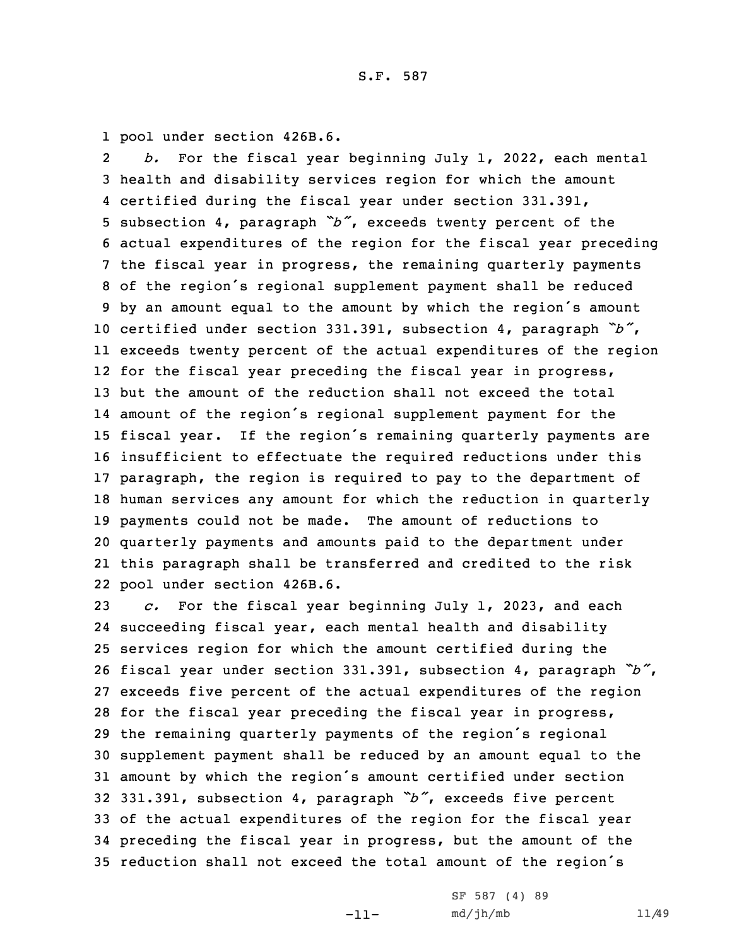1 pool under section 426B.6.

2 *b.* For the fiscal year beginning July 1, 2022, each mental health and disability services region for which the amount certified during the fiscal year under section 331.391, subsection 4, paragraph *"b"*, exceeds twenty percent of the actual expenditures of the region for the fiscal year preceding the fiscal year in progress, the remaining quarterly payments of the region's regional supplement payment shall be reduced by an amount equal to the amount by which the region's amount certified under section 331.391, subsection 4, paragraph *"b"*, exceeds twenty percent of the actual expenditures of the region for the fiscal year preceding the fiscal year in progress, but the amount of the reduction shall not exceed the total amount of the region's regional supplement payment for the fiscal year. If the region's remaining quarterly payments are insufficient to effectuate the required reductions under this paragraph, the region is required to pay to the department of human services any amount for which the reduction in quarterly payments could not be made. The amount of reductions to quarterly payments and amounts paid to the department under this paragraph shall be transferred and credited to the risk pool under section 426B.6.

 *c.* For the fiscal year beginning July 1, 2023, and each succeeding fiscal year, each mental health and disability services region for which the amount certified during the fiscal year under section 331.391, subsection 4, paragraph *"b"*, exceeds five percent of the actual expenditures of the region for the fiscal year preceding the fiscal year in progress, the remaining quarterly payments of the region's regional supplement payment shall be reduced by an amount equal to the amount by which the region's amount certified under section 331.391, subsection 4, paragraph *"b"*, exceeds five percent of the actual expenditures of the region for the fiscal year preceding the fiscal year in progress, but the amount of the reduction shall not exceed the total amount of the region's

-11-

SF 587 (4) 89 md/jh/mb 11/49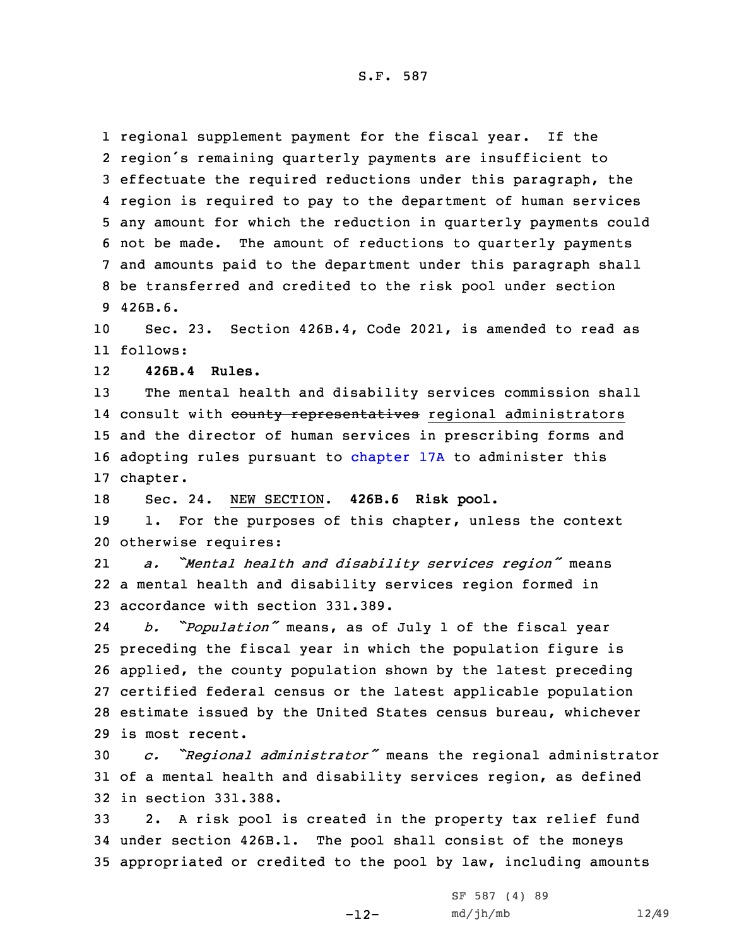S.F. 587

 regional supplement payment for the fiscal year. If the region's remaining quarterly payments are insufficient to effectuate the required reductions under this paragraph, the region is required to pay to the department of human services any amount for which the reduction in quarterly payments could not be made. The amount of reductions to quarterly payments and amounts paid to the department under this paragraph shall be transferred and credited to the risk pool under section 9 426B.6.

10 Sec. 23. Section 426B.4, Code 2021, is amended to read as 11 follows:

12**426B.4 Rules.**

13 The mental health and disability services commission shall 14 consult with <del>county representatives</del> regional administrators 15 and the director of human services in prescribing forms and 16 adopting rules pursuant to [chapter](https://www.legis.iowa.gov/docs/code/2021/17A.pdf) 17A to administer this 17 chapter.

18 Sec. 24. NEW SECTION. **426B.6 Risk pool.**

19 1. For the purposes of this chapter, unless the context 20 otherwise requires:

21 *a. "Mental health and disability services region"* means 22 <sup>a</sup> mental health and disability services region formed in 23 accordance with section 331.389.

24 *b. "Population"* means, as of July <sup>1</sup> of the fiscal year preceding the fiscal year in which the population figure is applied, the county population shown by the latest preceding certified federal census or the latest applicable population estimate issued by the United States census bureau, whichever is most recent.

<sup>30</sup> *c. "Regional administrator"* means the regional administrator 31 of <sup>a</sup> mental health and disability services region, as defined 32 in section 331.388.

33 2. <sup>A</sup> risk pool is created in the property tax relief fund 34 under section 426B.1. The pool shall consist of the moneys 35 appropriated or credited to the pool by law, including amounts

-12-

```
SF 587 (4) 89
md/jh/mb 12/49
```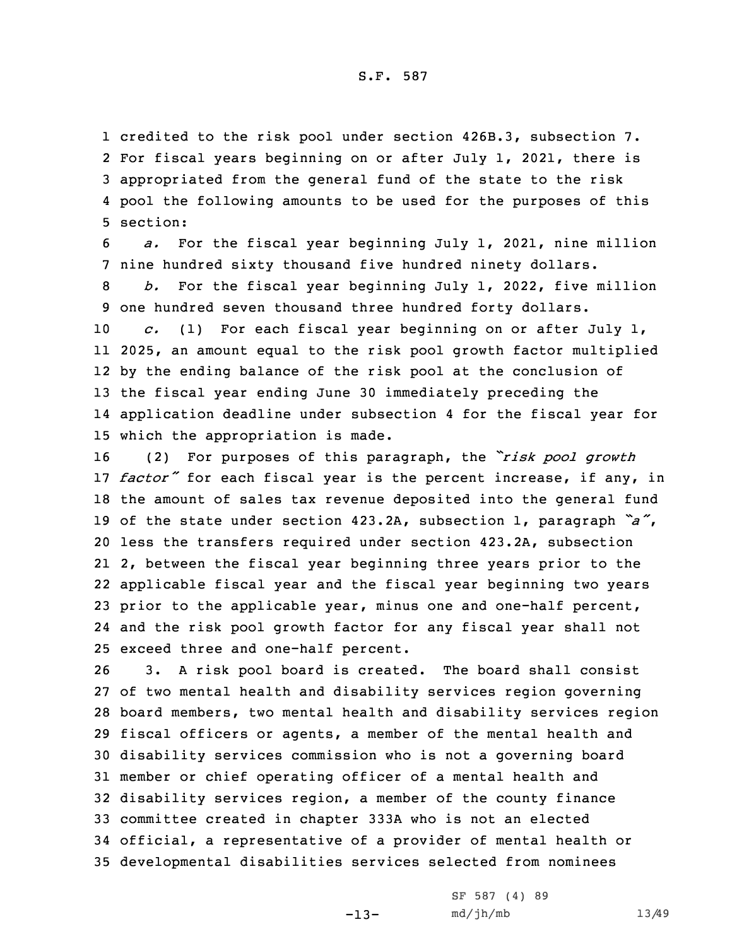credited to the risk pool under section 426B.3, subsection 7. For fiscal years beginning on or after July 1, 2021, there is appropriated from the general fund of the state to the risk pool the following amounts to be used for the purposes of this 5 section:

6 *a.* For the fiscal year beginning July 1, 2021, nine million 7 nine hundred sixty thousand five hundred ninety dollars.

8 *b.* For the fiscal year beginning July 1, 2022, five million 9 one hundred seven thousand three hundred forty dollars.

 *c.* (1) For each fiscal year beginning on or after July 1, 2025, an amount equal to the risk pool growth factor multiplied by the ending balance of the risk pool at the conclusion of the fiscal year ending June 30 immediately preceding the application deadline under subsection 4 for the fiscal year for which the appropriation is made.

 (2) For purposes of this paragraph, the *"risk pool growth factor"* for each fiscal year is the percent increase, if any, in the amount of sales tax revenue deposited into the general fund of the state under section 423.2A, subsection 1, paragraph *"a"*, less the transfers required under section 423.2A, subsection 2, between the fiscal year beginning three years prior to the applicable fiscal year and the fiscal year beginning two years prior to the applicable year, minus one and one-half percent, and the risk pool growth factor for any fiscal year shall not exceed three and one-half percent.

 3. <sup>A</sup> risk pool board is created. The board shall consist of two mental health and disability services region governing board members, two mental health and disability services region fiscal officers or agents, <sup>a</sup> member of the mental health and disability services commission who is not <sup>a</sup> governing board member or chief operating officer of <sup>a</sup> mental health and disability services region, <sup>a</sup> member of the county finance committee created in chapter 333A who is not an elected official, <sup>a</sup> representative of <sup>a</sup> provider of mental health or developmental disabilities services selected from nominees

-13-

SF 587 (4) 89 md/jh/mb 13/49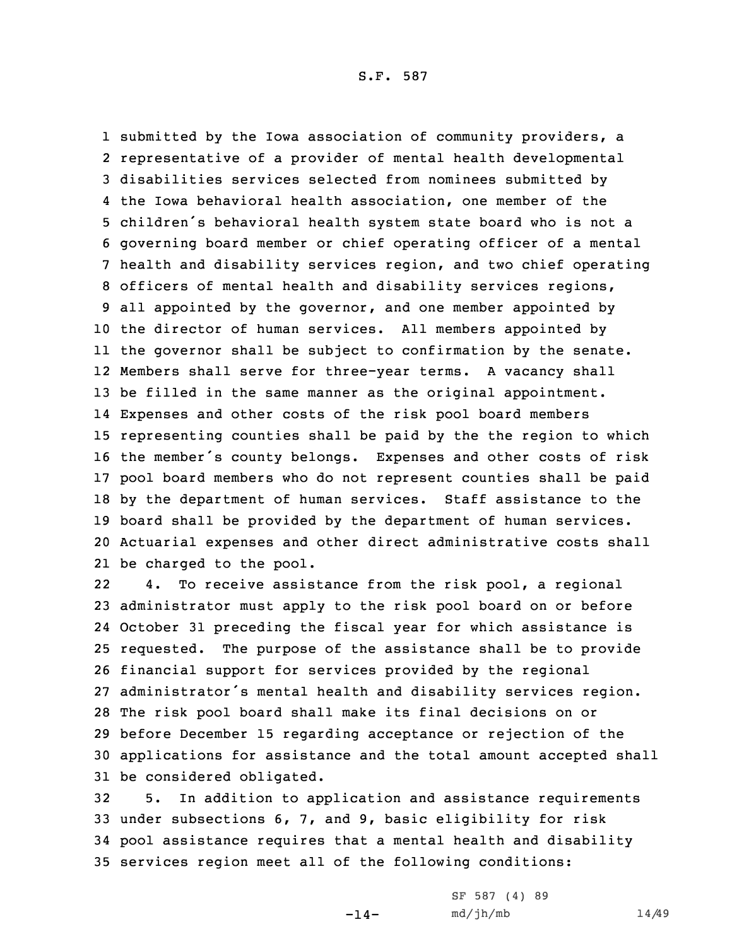S.F. 587

 submitted by the Iowa association of community providers, <sup>a</sup> representative of <sup>a</sup> provider of mental health developmental disabilities services selected from nominees submitted by the Iowa behavioral health association, one member of the children's behavioral health system state board who is not <sup>a</sup> governing board member or chief operating officer of <sup>a</sup> mental health and disability services region, and two chief operating officers of mental health and disability services regions, all appointed by the governor, and one member appointed by the director of human services. All members appointed by the governor shall be subject to confirmation by the senate. Members shall serve for three-year terms. <sup>A</sup> vacancy shall be filled in the same manner as the original appointment. Expenses and other costs of the risk pool board members representing counties shall be paid by the the region to which the member's county belongs. Expenses and other costs of risk pool board members who do not represent counties shall be paid by the department of human services. Staff assistance to the board shall be provided by the department of human services. Actuarial expenses and other direct administrative costs shall be charged to the pool.

22 4. To receive assistance from the risk pool, <sup>a</sup> regional administrator must apply to the risk pool board on or before October 31 preceding the fiscal year for which assistance is requested. The purpose of the assistance shall be to provide financial support for services provided by the regional administrator's mental health and disability services region. The risk pool board shall make its final decisions on or before December 15 regarding acceptance or rejection of the applications for assistance and the total amount accepted shall be considered obligated.

 5. In addition to application and assistance requirements under subsections 6, 7, and 9, basic eligibility for risk pool assistance requires that <sup>a</sup> mental health and disability services region meet all of the following conditions:

-14-

```
SF 587 (4) 89
md/jh/mb 14/49
```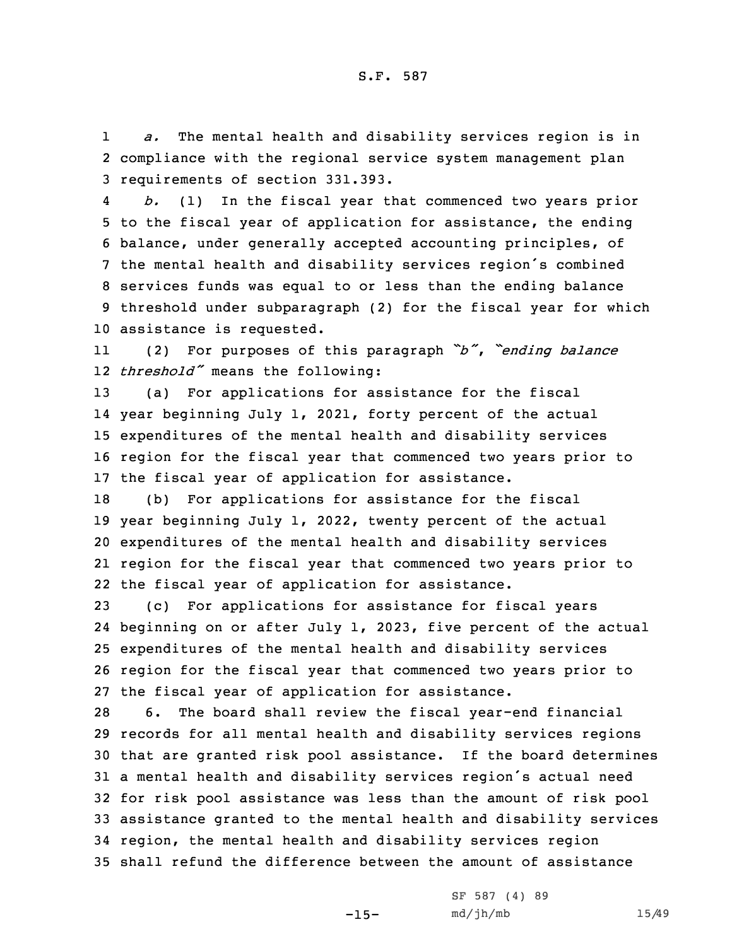1 *a.* The mental health and disability services region is in 2 compliance with the regional service system management plan 3 requirements of section 331.393.

4 *b.* (1) In the fiscal year that commenced two years prior to the fiscal year of application for assistance, the ending balance, under generally accepted accounting principles, of the mental health and disability services region's combined services funds was equal to or less than the ending balance threshold under subparagraph (2) for the fiscal year for which assistance is requested.

11 (2) For purposes of this paragraph *"b"*, *"ending balance* 12 *threshold"* means the following:

 (a) For applications for assistance for the fiscal year beginning July 1, 2021, forty percent of the actual expenditures of the mental health and disability services region for the fiscal year that commenced two years prior to the fiscal year of application for assistance.

 (b) For applications for assistance for the fiscal year beginning July 1, 2022, twenty percent of the actual expenditures of the mental health and disability services region for the fiscal year that commenced two years prior to the fiscal year of application for assistance.

 (c) For applications for assistance for fiscal years beginning on or after July 1, 2023, five percent of the actual expenditures of the mental health and disability services region for the fiscal year that commenced two years prior to the fiscal year of application for assistance.

 6. The board shall review the fiscal year-end financial records for all mental health and disability services regions that are granted risk pool assistance. If the board determines <sup>a</sup> mental health and disability services region's actual need for risk pool assistance was less than the amount of risk pool assistance granted to the mental health and disability services region, the mental health and disability services region shall refund the difference between the amount of assistance

-15-

SF 587 (4) 89 md/jh/mb 15/49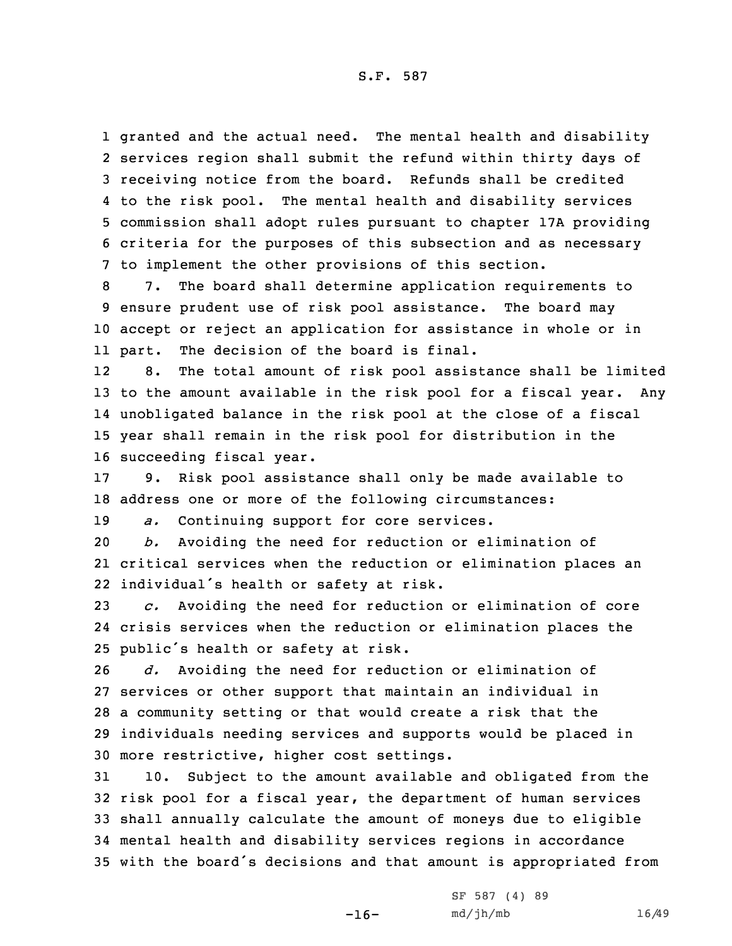granted and the actual need. The mental health and disability services region shall submit the refund within thirty days of receiving notice from the board. Refunds shall be credited to the risk pool. The mental health and disability services commission shall adopt rules pursuant to chapter 17A providing criteria for the purposes of this subsection and as necessary to implement the other provisions of this section.

8 7. The board shall determine application requirements to 9 ensure prudent use of risk pool assistance. The board may 10 accept or reject an application for assistance in whole or in 11 part. The decision of the board is final.

12 8. The total amount of risk pool assistance shall be limited to the amount available in the risk pool for <sup>a</sup> fiscal year. Any unobligated balance in the risk pool at the close of <sup>a</sup> fiscal year shall remain in the risk pool for distribution in the succeeding fiscal year.

17 9. Risk pool assistance shall only be made available to 18 address one or more of the following circumstances:

19 *a.* Continuing support for core services.

20 *b.* Avoiding the need for reduction or elimination of 21 critical services when the reduction or elimination places an 22 individual's health or safety at risk.

23 *c.* Avoiding the need for reduction or elimination of core 24 crisis services when the reduction or elimination places the <sup>25</sup> public's health or safety at risk.

 *d.* Avoiding the need for reduction or elimination of services or other support that maintain an individual in <sup>a</sup> community setting or that would create <sup>a</sup> risk that the individuals needing services and supports would be placed in more restrictive, higher cost settings.

 10. Subject to the amount available and obligated from the risk pool for <sup>a</sup> fiscal year, the department of human services shall annually calculate the amount of moneys due to eligible mental health and disability services regions in accordance with the board's decisions and that amount is appropriated from

-16-

SF 587 (4) 89 md/jh/mb 16/49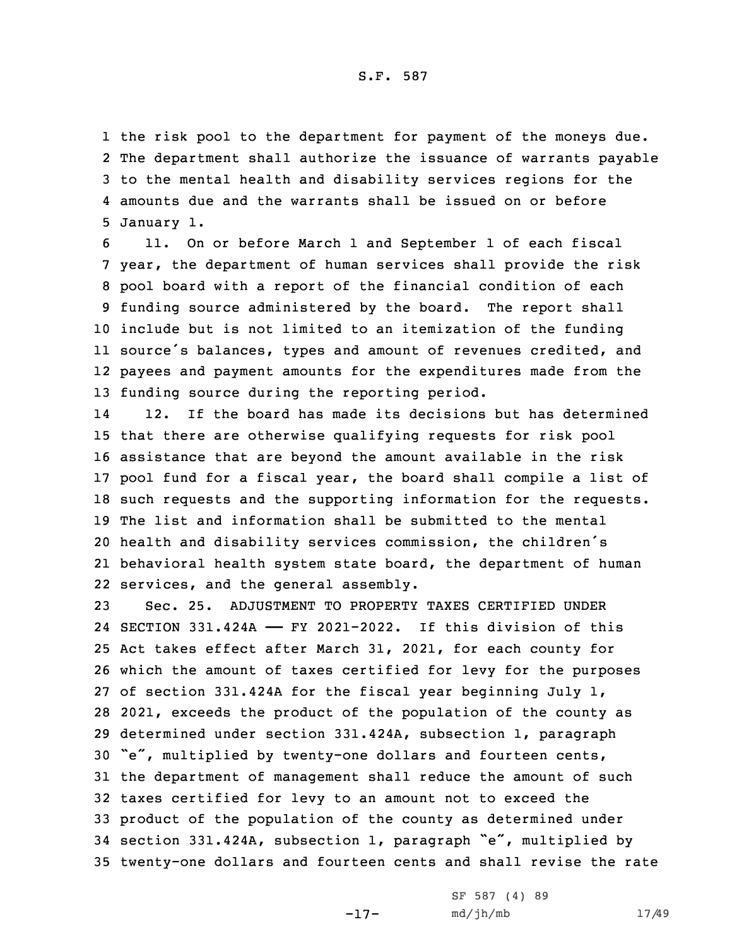the risk pool to the department for payment of the moneys due. The department shall authorize the issuance of warrants payable to the mental health and disability services regions for the amounts due and the warrants shall be issued on or before January 1.

 11. On or before March 1 and September 1 of each fiscal year, the department of human services shall provide the risk pool board with <sup>a</sup> report of the financial condition of each funding source administered by the board. The report shall include but is not limited to an itemization of the funding source's balances, types and amount of revenues credited, and payees and payment amounts for the expenditures made from the funding source during the reporting period.

14 12. If the board has made its decisions but has determined that there are otherwise qualifying requests for risk pool assistance that are beyond the amount available in the risk pool fund for <sup>a</sup> fiscal year, the board shall compile <sup>a</sup> list of such requests and the supporting information for the requests. The list and information shall be submitted to the mental health and disability services commission, the children's behavioral health system state board, the department of human services, and the general assembly.

 Sec. 25. ADJUSTMENT TO PROPERTY TAXES CERTIFIED UNDER SECTION 331.424A —— FY 2021-2022. If this division of this Act takes effect after March 31, 2021, for each county for which the amount of taxes certified for levy for the purposes of section 331.424A for the fiscal year beginning July 1, 2021, exceeds the product of the population of the county as determined under section 331.424A, subsection 1, paragraph "e", multiplied by twenty-one dollars and fourteen cents, the department of management shall reduce the amount of such taxes certified for levy to an amount not to exceed the product of the population of the county as determined under section 331.424A, subsection 1, paragraph "e", multiplied by twenty-one dollars and fourteen cents and shall revise the rate

-17-

SF 587 (4) 89 md/jh/mb 17/49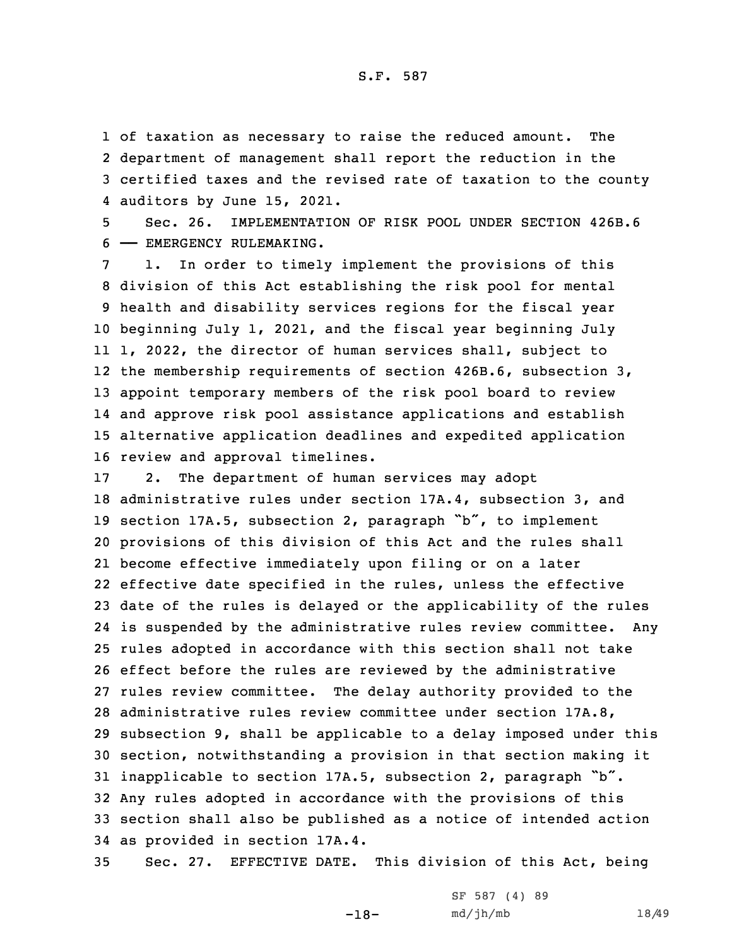of taxation as necessary to raise the reduced amount. The department of management shall report the reduction in the certified taxes and the revised rate of taxation to the county auditors by June 15, 2021.

5 Sec. 26. IMPLEMENTATION OF RISK POOL UNDER SECTION 426B.6 6 —— EMERGENCY RULEMAKING.

 1. In order to timely implement the provisions of this division of this Act establishing the risk pool for mental health and disability services regions for the fiscal year beginning July 1, 2021, and the fiscal year beginning July 1, 2022, the director of human services shall, subject to the membership requirements of section 426B.6, subsection 3, appoint temporary members of the risk pool board to review and approve risk pool assistance applications and establish alternative application deadlines and expedited application review and approval timelines.

 2. The department of human services may adopt administrative rules under section 17A.4, subsection 3, and section 17A.5, subsection 2, paragraph "b", to implement provisions of this division of this Act and the rules shall become effective immediately upon filing or on <sup>a</sup> later effective date specified in the rules, unless the effective date of the rules is delayed or the applicability of the rules is suspended by the administrative rules review committee. Any rules adopted in accordance with this section shall not take effect before the rules are reviewed by the administrative rules review committee. The delay authority provided to the administrative rules review committee under section 17A.8, subsection 9, shall be applicable to <sup>a</sup> delay imposed under this section, notwithstanding <sup>a</sup> provision in that section making it inapplicable to section 17A.5, subsection 2, paragraph "b". Any rules adopted in accordance with the provisions of this section shall also be published as <sup>a</sup> notice of intended action as provided in section 17A.4.

35 Sec. 27. EFFECTIVE DATE. This division of this Act, being

-18-

|  | SF 587 (4) 89 |  |  |
|--|---------------|--|--|
|  | md/jh/mb      |  |  |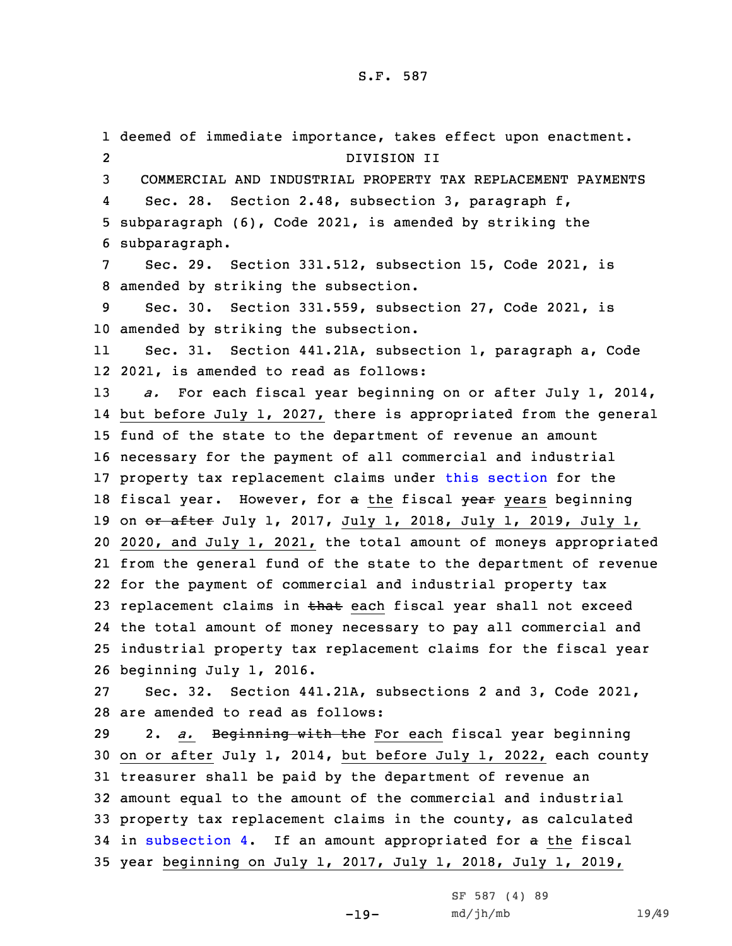deemed of immediate importance, takes effect upon enactment. 2 DIVISION II COMMERCIAL AND INDUSTRIAL PROPERTY TAX REPLACEMENT PAYMENTS 4 Sec. 28. Section 2.48, subsection 3, paragraph f, subparagraph (6), Code 2021, is amended by striking the subparagraph. Sec. 29. Section 331.512, subsection 15, Code 2021, is amended by striking the subsection. Sec. 30. Section 331.559, subsection 27, Code 2021, is amended by striking the subsection. 11 Sec. 31. Section 441.21A, subsection 1, paragraph a, Code 2021, is amended to read as follows: *a.* For each fiscal year beginning on or after July 1, 2014, but before July 1, 2027, there is appropriated from the general fund of the state to the department of revenue an amount necessary for the payment of all commercial and industrial property tax replacement claims under this [section](https://www.legis.iowa.gov/docs/code/2021/441.21A.pdf) for the 18 fiscal year. However, for a the fiscal year years beginning 19 on or after July 1, 2017, July 1, 2018, July 1, 2019, July 1, 2020, and July 1, 2021, the total amount of moneys appropriated from the general fund of the state to the department of revenue for the payment of commercial and industrial property tax 23 replacement claims in that each fiscal year shall not exceed the total amount of money necessary to pay all commercial and industrial property tax replacement claims for the fiscal year beginning July 1, 2016. Sec. 32. Section 441.21A, subsections 2 and 3, Code 2021, are amended to read as follows: 2. *a.* Beginning with the For each fiscal year beginning on or after July 1, 2014, but before July 1, 2022, each county treasurer shall be paid by the department of revenue an amount equal to the amount of the commercial and industrial property tax replacement claims in the county, as calculated in [subsection](https://www.legis.iowa.gov/docs/code/2021/441.21A.pdf) 4. If an amount appropriated for <sup>a</sup> the fiscal year beginning on July 1, 2017, July 1, 2018, July 1, 2019,

-19-

```
SF 587 (4) 89
md/jh/mb 19/49
```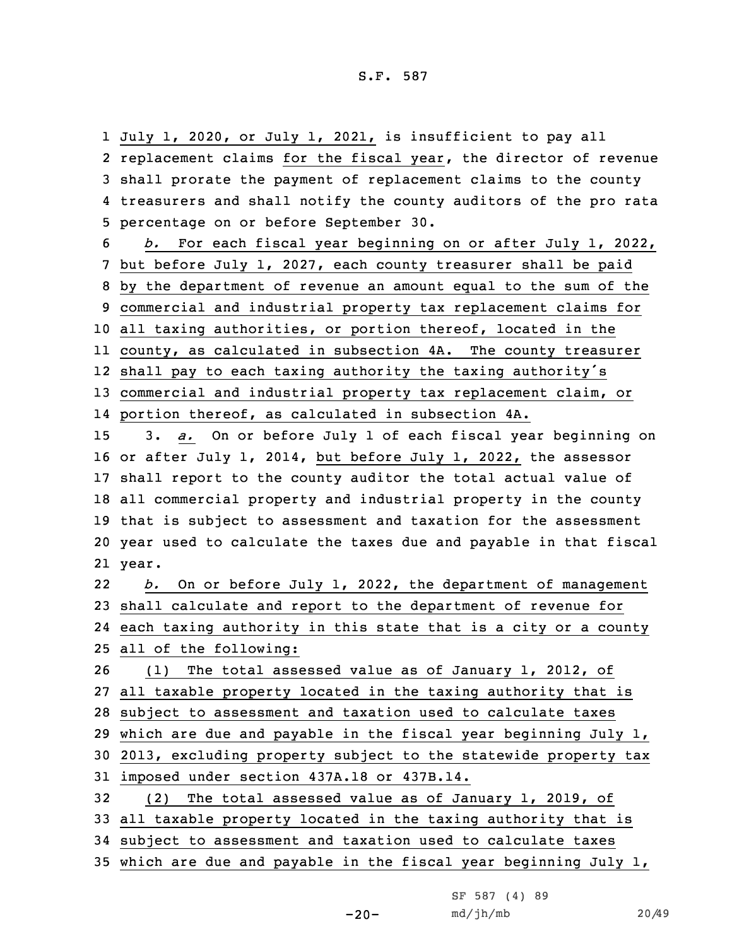July 1, 2020, or July 1, 2021, is insufficient to pay all replacement claims for the fiscal year, the director of revenue shall prorate the payment of replacement claims to the county treasurers and shall notify the county auditors of the pro rata percentage on or before September 30.

 *b.* For each fiscal year beginning on or after July 1, 2022, but before July 1, 2027, each county treasurer shall be paid by the department of revenue an amount equal to the sum of the commercial and industrial property tax replacement claims for all taxing authorities, or portion thereof, located in the county, as calculated in subsection 4A. The county treasurer shall pay to each taxing authority the taxing authority's commercial and industrial property tax replacement claim, or

14 portion thereof, as calculated in subsection 4A.

 3. *a.* On or before July 1 of each fiscal year beginning on or after July 1, 2014, but before July 1, 2022, the assessor shall report to the county auditor the total actual value of all commercial property and industrial property in the county that is subject to assessment and taxation for the assessment year used to calculate the taxes due and payable in that fiscal 21 year.

22 *b.* On or before July 1, 2022, the department of management 23 shall calculate and report to the department of revenue for 24 each taxing authority in this state that is <sup>a</sup> city or <sup>a</sup> county 25 all of the following:

 (1) The total assessed value as of January 1, 2012, of all taxable property located in the taxing authority that is subject to assessment and taxation used to calculate taxes which are due and payable in the fiscal year beginning July 1, 2013, excluding property subject to the statewide property tax imposed under section 437A.18 or 437B.14. (2) The total assessed value as of January 1, 2019, of all taxable property located in the taxing authority that is subject to assessment and taxation used to calculate taxes

35 which are due and payable in the fiscal year beginning July 1,

-20-

SF 587 (4) 89 md/jh/mb 20/49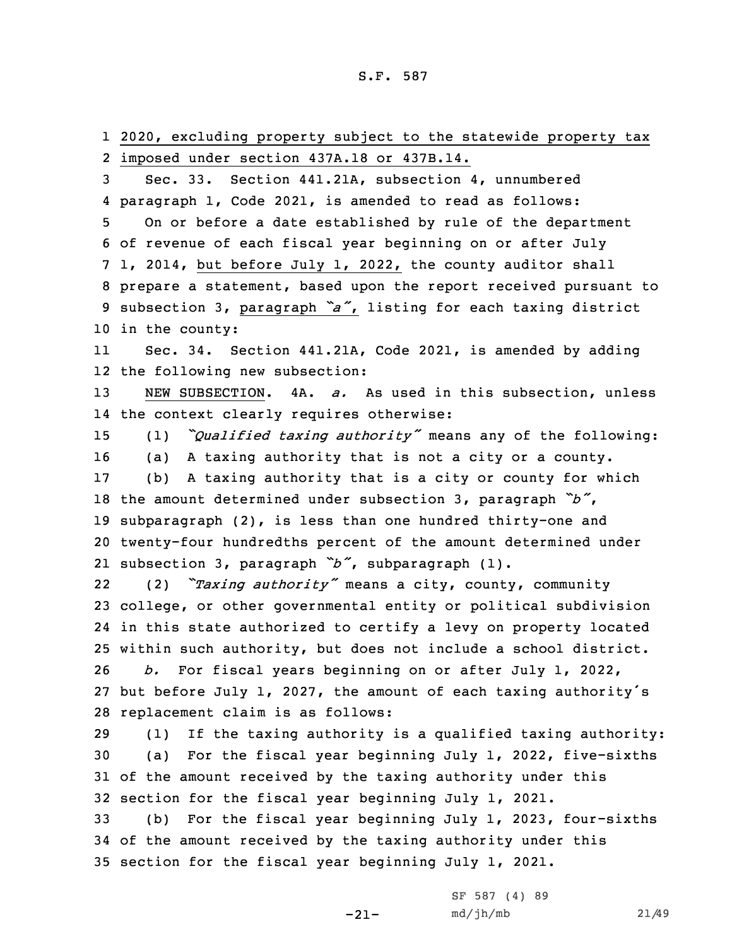2020, excluding property subject to the statewide property tax imposed under section 437A.18 or 437B.14. Sec. 33. Section 441.21A, subsection 4, unnumbered paragraph 1, Code 2021, is amended to read as follows: On or before <sup>a</sup> date established by rule of the department of revenue of each fiscal year beginning on or after July 1, 2014, but before July 1, 2022, the county auditor shall prepare <sup>a</sup> statement, based upon the report received pursuant to subsection 3, paragraph *"a"*, listing for each taxing district in the county: 11 Sec. 34. Section 441.21A, Code 2021, is amended by adding the following new subsection: NEW SUBSECTION. 4A. *a.* As used in this subsection, unless the context clearly requires otherwise: (1) *"Qualified taxing authority"* means any of the following: (a) <sup>A</sup> taxing authority that is not <sup>a</sup> city or <sup>a</sup> county. (b) <sup>A</sup> taxing authority that is <sup>a</sup> city or county for which the amount determined under subsection 3, paragraph *"b"*, subparagraph (2), is less than one hundred thirty-one and twenty-four hundredths percent of the amount determined under subsection 3, paragraph *"b"*, subparagraph (1). 22 (2) *"Taxing authority"* means <sup>a</sup> city, county, community college, or other governmental entity or political subdivision in this state authorized to certify <sup>a</sup> levy on property located within such authority, but does not include <sup>a</sup> school district. *b.* For fiscal years beginning on or after July 1, 2022, but before July 1, 2027, the amount of each taxing authority's replacement claim is as follows: (1) If the taxing authority is <sup>a</sup> qualified taxing authority: (a) For the fiscal year beginning July 1, 2022, five-sixths of the amount received by the taxing authority under this section for the fiscal year beginning July 1, 2021. (b) For the fiscal year beginning July 1, 2023, four-sixths of the amount received by the taxing authority under this section for the fiscal year beginning July 1, 2021.

-21-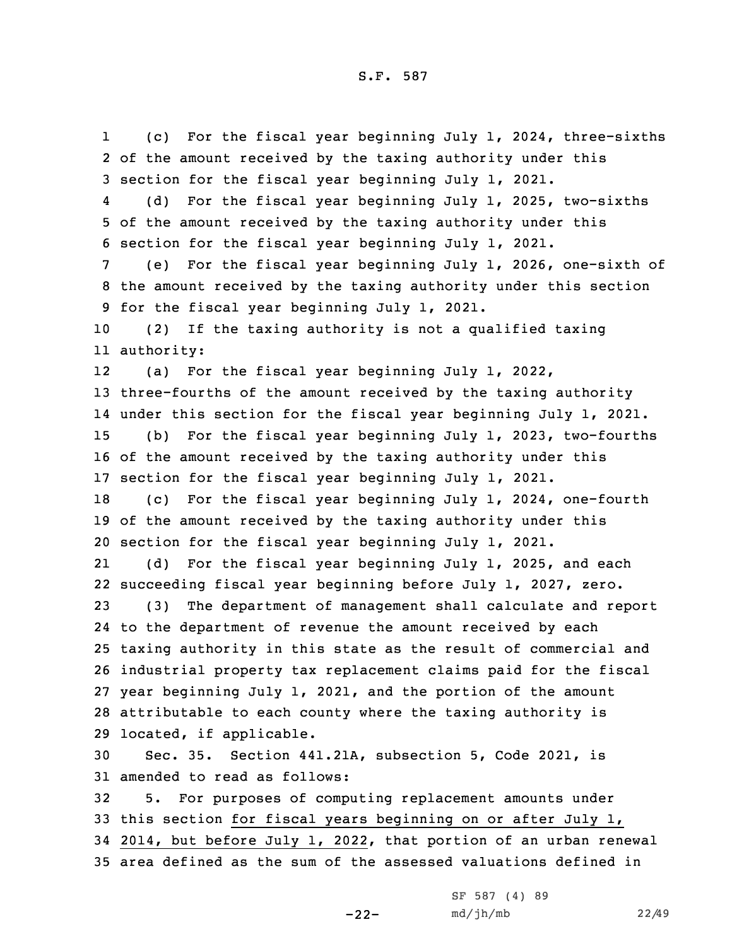1 (c) For the fiscal year beginning July 1, 2024, three-sixths of the amount received by the taxing authority under this section for the fiscal year beginning July 1, 2021. 4 (d) For the fiscal year beginning July 1, 2025, two-sixths of the amount received by the taxing authority under this section for the fiscal year beginning July 1, 2021. (e) For the fiscal year beginning July 1, 2026, one-sixth of the amount received by the taxing authority under this section for the fiscal year beginning July 1, 2021. (2) If the taxing authority is not <sup>a</sup> qualified taxing authority: 12 (a) For the fiscal year beginning July 1, 2022, three-fourths of the amount received by the taxing authority under this section for the fiscal year beginning July 1, 2021. (b) For the fiscal year beginning July 1, 2023, two-fourths of the amount received by the taxing authority under this section for the fiscal year beginning July 1, 2021. (c) For the fiscal year beginning July 1, 2024, one-fourth of the amount received by the taxing authority under this section for the fiscal year beginning July 1, 2021. 21 (d) For the fiscal year beginning July 1, 2025, and each succeeding fiscal year beginning before July 1, 2027, zero. (3) The department of management shall calculate and report to the department of revenue the amount received by each taxing authority in this state as the result of commercial and industrial property tax replacement claims paid for the fiscal year beginning July 1, 2021, and the portion of the amount attributable to each county where the taxing authority is located, if applicable. Sec. 35. Section 441.21A, subsection 5, Code 2021, is amended to read as follows: 5. For purposes of computing replacement amounts under this section for fiscal years beginning on or after July 1, 2014, but before July 1, 2022, that portion of an urban renewal area defined as the sum of the assessed valuations defined in

-22-

SF 587 (4) 89 md/jh/mb 22/49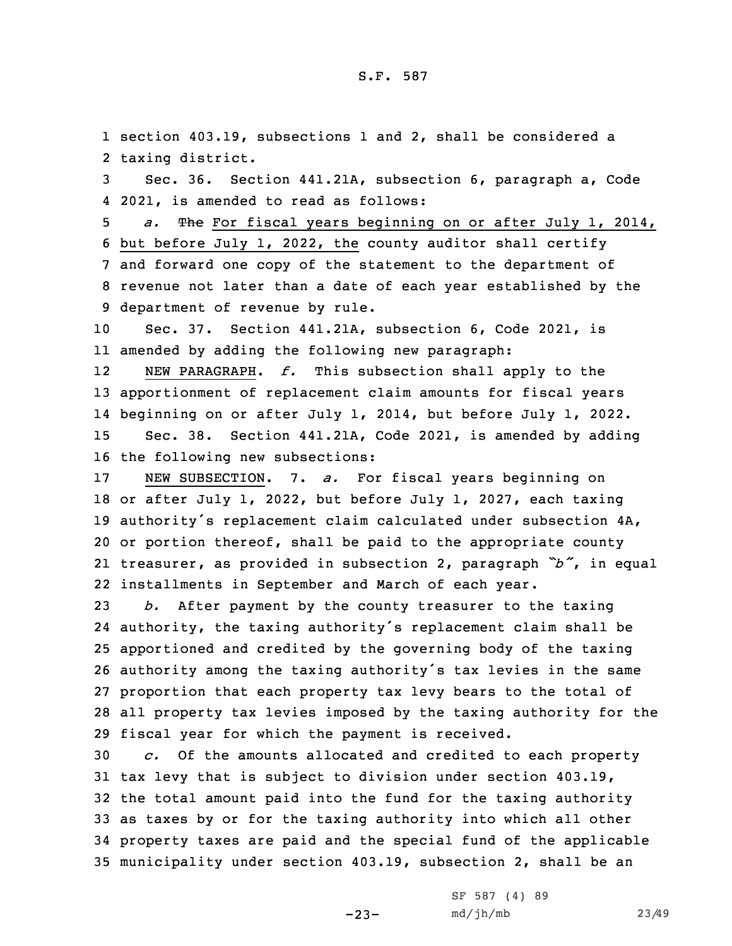1 section 403.19, subsections 1 and 2, shall be considered <sup>a</sup> 2 taxing district.

3 Sec. 36. Section 441.21A, subsection 6, paragraph a, Code 4 2021, is amended to read as follows:

 *a.* The For fiscal years beginning on or after July 1, 2014, but before July 1, 2022, the county auditor shall certify and forward one copy of the statement to the department of revenue not later than <sup>a</sup> date of each year established by the department of revenue by rule.

10 Sec. 37. Section 441.21A, subsection 6, Code 2021, is 11 amended by adding the following new paragraph:

12 NEW PARAGRAPH. *f.* This subsection shall apply to the apportionment of replacement claim amounts for fiscal years beginning on or after July 1, 2014, but before July 1, 2022. Sec. 38. Section 441.21A, Code 2021, is amended by adding the following new subsections:

 NEW SUBSECTION. 7. *a.* For fiscal years beginning on or after July 1, 2022, but before July 1, 2027, each taxing authority's replacement claim calculated under subsection 4A, or portion thereof, shall be paid to the appropriate county treasurer, as provided in subsection 2, paragraph *"b"*, in equal installments in September and March of each year.

 *b.* After payment by the county treasurer to the taxing authority, the taxing authority's replacement claim shall be apportioned and credited by the governing body of the taxing authority among the taxing authority's tax levies in the same proportion that each property tax levy bears to the total of all property tax levies imposed by the taxing authority for the fiscal year for which the payment is received.

 *c.* Of the amounts allocated and credited to each property tax levy that is subject to division under section 403.19, the total amount paid into the fund for the taxing authority as taxes by or for the taxing authority into which all other property taxes are paid and the special fund of the applicable municipality under section 403.19, subsection 2, shall be an

-23-

SF 587 (4) 89 md/jh/mb 23/49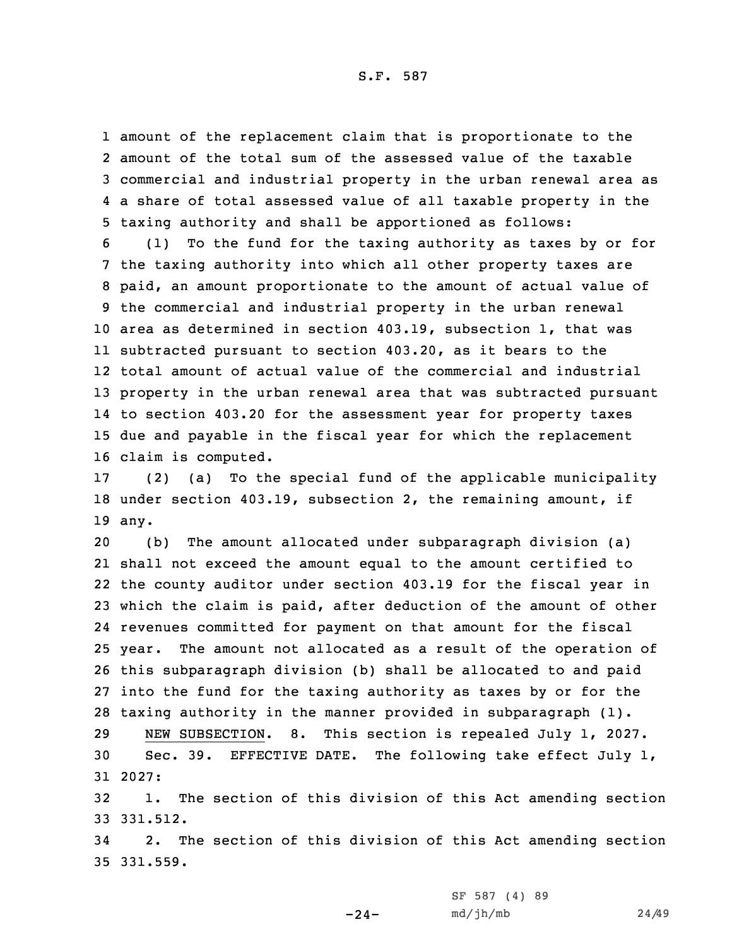S.F. 587

 amount of the replacement claim that is proportionate to the amount of the total sum of the assessed value of the taxable commercial and industrial property in the urban renewal area as <sup>a</sup> share of total assessed value of all taxable property in the taxing authority and shall be apportioned as follows:

 (1) To the fund for the taxing authority as taxes by or for the taxing authority into which all other property taxes are paid, an amount proportionate to the amount of actual value of the commercial and industrial property in the urban renewal area as determined in section 403.19, subsection 1, that was subtracted pursuant to section 403.20, as it bears to the total amount of actual value of the commercial and industrial property in the urban renewal area that was subtracted pursuant to section 403.20 for the assessment year for property taxes due and payable in the fiscal year for which the replacement claim is computed.

17 (2) (a) To the special fund of the applicable municipality 18 under section 403.19, subsection 2, the remaining amount, if 19 any.

 (b) The amount allocated under subparagraph division (a) shall not exceed the amount equal to the amount certified to the county auditor under section 403.19 for the fiscal year in which the claim is paid, after deduction of the amount of other revenues committed for payment on that amount for the fiscal year. The amount not allocated as <sup>a</sup> result of the operation of this subparagraph division (b) shall be allocated to and paid into the fund for the taxing authority as taxes by or for the taxing authority in the manner provided in subparagraph (1).

29 NEW SUBSECTION. 8. This section is repealed July 1, 2027. 30 Sec. 39. EFFECTIVE DATE. The following take effect July 1, 31 2027:

32 1. The section of this division of this Act amending section 33 331.512.

34 2. The section of this division of this Act amending section 35 331.559.

 $-24-$ 

SF 587 (4) 89 md/jh/mb 24/49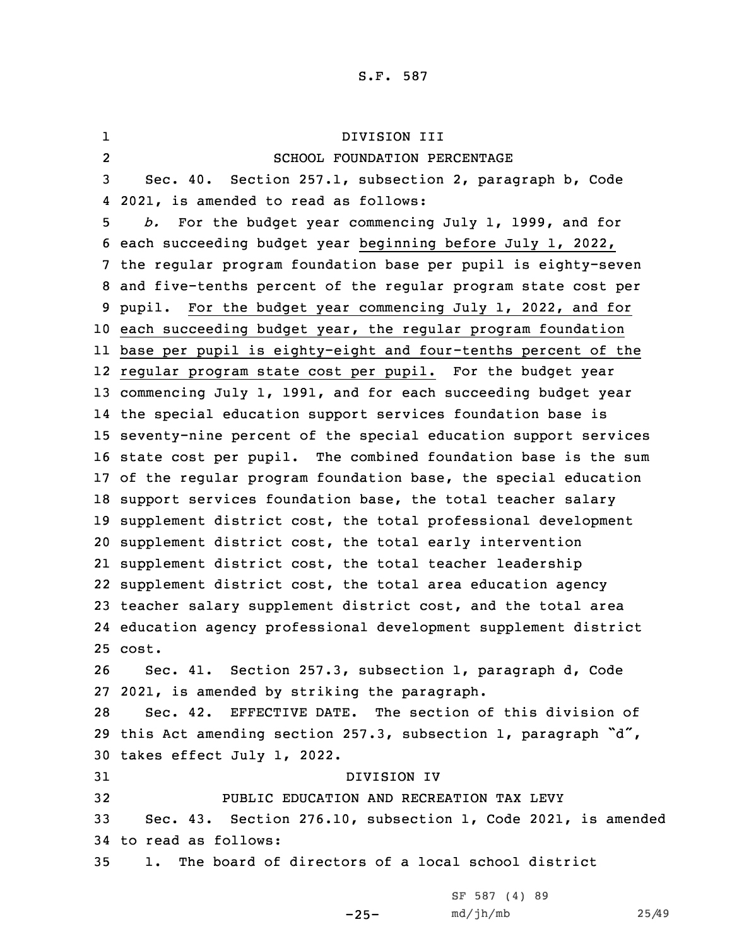1 DIVISION III 2 SCHOOL FOUNDATION PERCENTAGE Sec. 40. Section 257.1, subsection 2, paragraph b, Code 2021, is amended to read as follows: *b.* For the budget year commencing July 1, 1999, and for each succeeding budget year beginning before July 1, 2022, the regular program foundation base per pupil is eighty-seven and five-tenths percent of the regular program state cost per pupil. For the budget year commencing July 1, 2022, and for each succeeding budget year, the regular program foundation base per pupil is eighty-eight and four-tenths percent of the regular program state cost per pupil. For the budget year commencing July 1, 1991, and for each succeeding budget year the special education support services foundation base is seventy-nine percent of the special education support services state cost per pupil. The combined foundation base is the sum of the regular program foundation base, the special education support services foundation base, the total teacher salary supplement district cost, the total professional development supplement district cost, the total early intervention supplement district cost, the total teacher leadership supplement district cost, the total area education agency teacher salary supplement district cost, and the total area education agency professional development supplement district 25 cost. Sec. 41. Section 257.3, subsection 1, paragraph d, Code 2021, is amended by striking the paragraph. Sec. 42. EFFECTIVE DATE. The section of this division of this Act amending section 257.3, subsection 1, paragraph "d", takes effect July 1, 2022. DIVISION IV PUBLIC EDUCATION AND RECREATION TAX LEVY Sec. 43. Section 276.10, subsection 1, Code 2021, is amended to read as follows: 1. The board of directors of <sup>a</sup> local school district

-25-

```
SF 587 (4) 89
md/jh/mb 25/49
```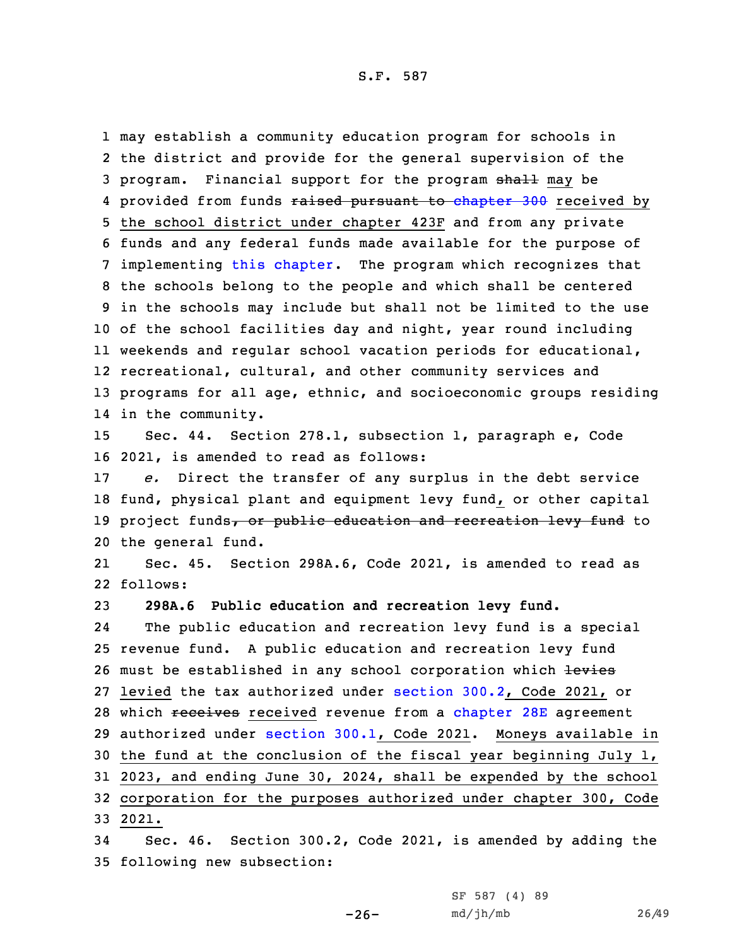may establish <sup>a</sup> community education program for schools in the district and provide for the general supervision of the 3 program. Financial support for the program shall may be 4 provided from funds <del>raised pursuant to [chapter](https://www.legis.iowa.gov/docs/code/2021/300.pdf) 300</del> received by the school district under chapter 423F and from any private funds and any federal funds made available for the purpose of implementing this [chapter](https://www.legis.iowa.gov/docs/code/2021/276.pdf). The program which recognizes that the schools belong to the people and which shall be centered in the schools may include but shall not be limited to the use of the school facilities day and night, year round including weekends and regular school vacation periods for educational, recreational, cultural, and other community services and programs for all age, ethnic, and socioeconomic groups residing in the community.

15 Sec. 44. Section 278.1, subsection 1, paragraph e, Code 16 2021, is amended to read as follows:

 *e.* Direct the transfer of any surplus in the debt service fund, physical plant and equipment levy fund, or other capital 19 project funds, or public education and recreation levy fund to the general fund.

21 Sec. 45. Section 298A.6, Code 2021, is amended to read as 22 follows:

23 **298A.6 Public education and recreation levy fund.**

24 The public education and recreation levy fund is <sup>a</sup> special 25 revenue fund. <sup>A</sup> public education and recreation levy fund 26 must be established in any school corporation which levies 27 levied the tax authorized under [section](https://www.legis.iowa.gov/docs/code/2021/300.2.pdf) 300.2, Code 2021, or 28 which receives received revenue from a [chapter](https://www.legis.iowa.gov/docs/code/2021/28E.pdf) 28E agreement 29 authorized under [section](https://www.legis.iowa.gov/docs/code/2021/300.1.pdf) 300.1, Code 2021. Moneys available in 30 the fund at the conclusion of the fiscal year beginning July 1, 31 2023, and ending June 30, 2024, shall be expended by the school 32 corporation for the purposes authorized under chapter 300, Code 33 2021.

34 Sec. 46. Section 300.2, Code 2021, is amended by adding the 35 following new subsection:

 $-26-$ 

SF 587 (4) 89 md/jh/mb 26/49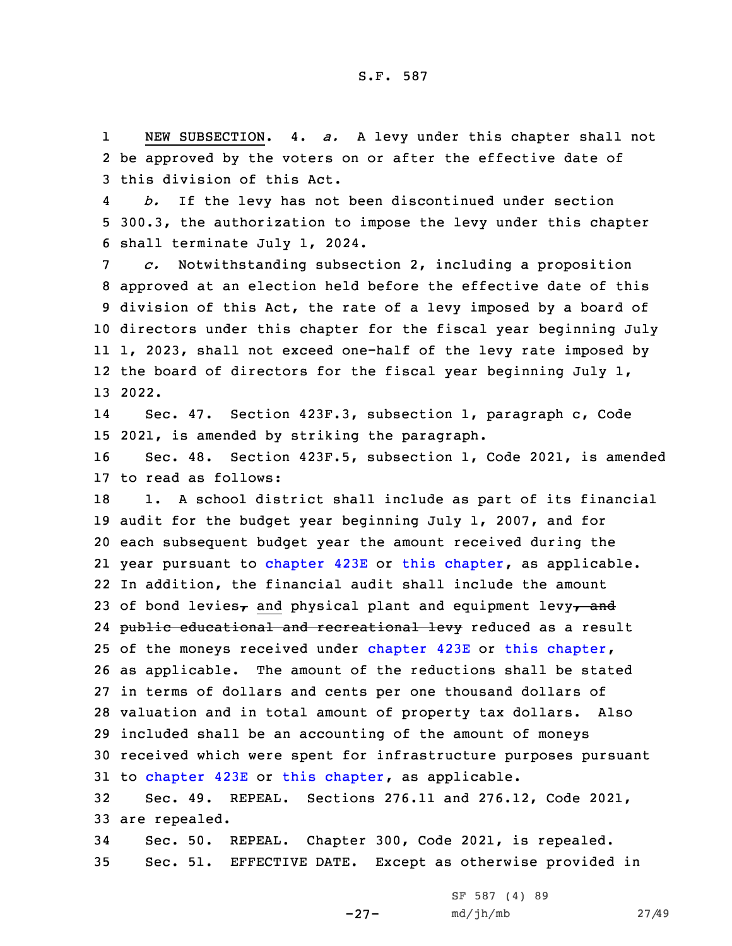1 NEW SUBSECTION. 4. *a.* <sup>A</sup> levy under this chapter shall not 2 be approved by the voters on or after the effective date of 3 this division of this Act.

4 *b.* If the levy has not been discontinued under section 5 300.3, the authorization to impose the levy under this chapter 6 shall terminate July 1, 2024.

 *c.* Notwithstanding subsection 2, including <sup>a</sup> proposition approved at an election held before the effective date of this division of this Act, the rate of <sup>a</sup> levy imposed by <sup>a</sup> board of directors under this chapter for the fiscal year beginning July 1, 2023, shall not exceed one-half of the levy rate imposed by 12 the board of directors for the fiscal year beginning July 1, 13 2022.

14 Sec. 47. Section 423F.3, subsection 1, paragraph c, Code 15 2021, is amended by striking the paragraph.

16 Sec. 48. Section 423F.5, subsection 1, Code 2021, is amended 17 to read as follows:

18 1. A school district shall include as part of its financial audit for the budget year beginning July 1, 2007, and for each subsequent budget year the amount received during the year pursuant to [chapter](https://www.legis.iowa.gov/docs/code/2021/423E.pdf) 423E or this [chapter](https://www.legis.iowa.gov/docs/code/2021/423F.pdf), as applicable. In addition, the financial audit shall include the amount 23 of bond levies<sub>7</sub> and physical plant and equipment levy<sub>7</sub> and 24 <del>public educational and recreational levy</del> reduced as a result 25 of the moneys received under [chapter](https://www.legis.iowa.gov/docs/code/2021/423F.pdf) 423E or this chapter, as applicable. The amount of the reductions shall be stated in terms of dollars and cents per one thousand dollars of valuation and in total amount of property tax dollars. Also included shall be an accounting of the amount of moneys received which were spent for infrastructure purposes pursuant to [chapter](https://www.legis.iowa.gov/docs/code/2021/423E.pdf) 423E or this [chapter](https://www.legis.iowa.gov/docs/code/2021/423F.pdf), as applicable.

32 Sec. 49. REPEAL. Sections 276.11 and 276.12, Code 2021, 33 are repealed.

34 Sec. 50. REPEAL. Chapter 300, Code 2021, is repealed. 35 Sec. 51. EFFECTIVE DATE. Except as otherwise provided in

-27-

SF 587 (4) 89 md/jh/mb 27/49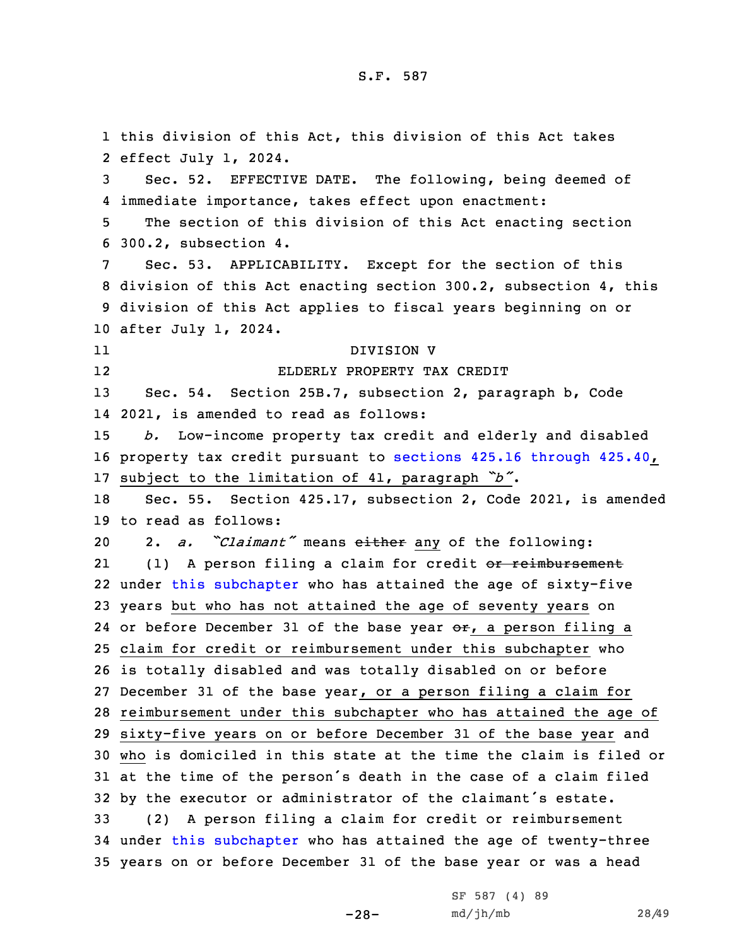this division of this Act, this division of this Act takes effect July 1, 2024. Sec. 52. EFFECTIVE DATE. The following, being deemed of immediate importance, takes effect upon enactment: The section of this division of this Act enacting section 300.2, subsection 4. Sec. 53. APPLICABILITY. Except for the section of this division of this Act enacting section 300.2, subsection 4, this division of this Act applies to fiscal years beginning on or after July 1, 2024. 11 DIVISION V 12 ELDERLY PROPERTY TAX CREDIT Sec. 54. Section 25B.7, subsection 2, paragraph b, Code 2021, is amended to read as follows: *b.* Low-income property tax credit and elderly and disabled property tax credit pursuant to [sections](https://www.legis.iowa.gov/docs/code/2021/425.16.pdf) 425.16 through 425.40, subject to the limitation of 41, paragraph *"b"*. Sec. 55. Section 425.17, subsection 2, Code 2021, is amended to read as follows: 2. *a. "Claimant"* means either any of the following: 21(1) A person filing a claim for credit or reimbursement under this [subchapter](https://www.legis.iowa.gov/docs/code/2021/425.pdf) who has attained the age of sixty-five years but who has not attained the age of seventy years on 24 or before December 31 of the base year or, a person filing a claim for credit or reimbursement under this subchapter who is totally disabled and was totally disabled on or before December 31 of the base year, or <sup>a</sup> person filing <sup>a</sup> claim for reimbursement under this subchapter who has attained the age of sixty-five years on or before December 31 of the base year and who is domiciled in this state at the time the claim is filed or at the time of the person's death in the case of <sup>a</sup> claim filed by the executor or administrator of the claimant's estate. (2) <sup>A</sup> person filing <sup>a</sup> claim for credit or reimbursement under this [subchapter](https://www.legis.iowa.gov/docs/code/2021/425.pdf) who has attained the age of twenty-three years on or before December 31 of the base year or was <sup>a</sup> head

-28-

SF 587 (4) 89 md/jh/mb 28/49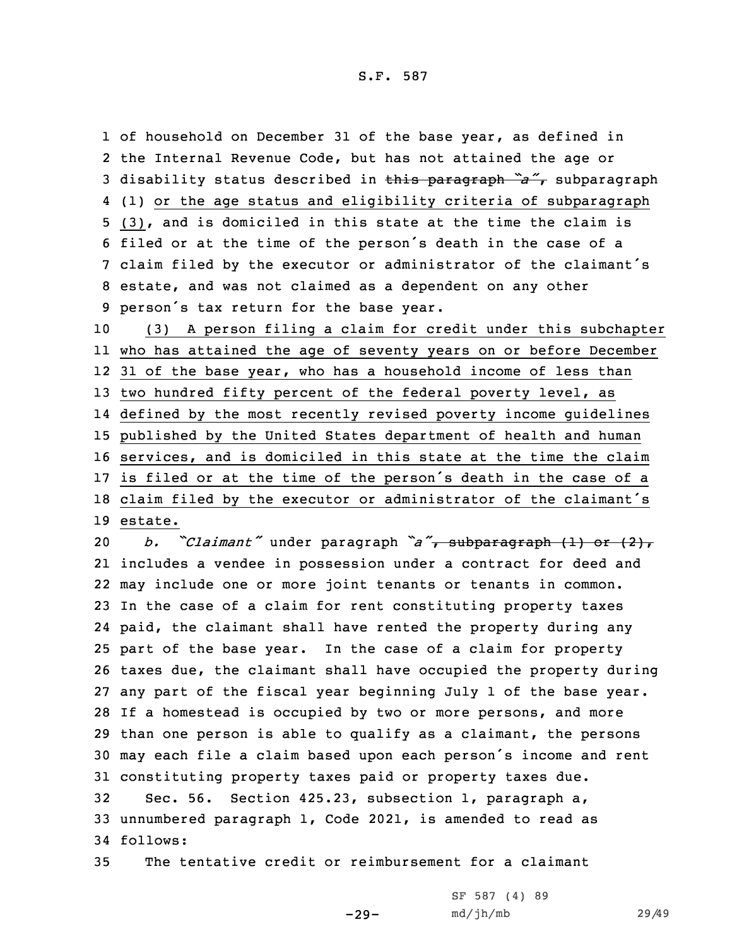S.F. 587

1 of household on December 31 of the base year, as defined in the Internal Revenue Code, but has not attained the age or disability status described in this paragraph *"a"*, subparagraph (1) or the age status and eligibility criteria of subparagraph (3), and is domiciled in this state at the time the claim is filed or at the time of the person's death in the case of <sup>a</sup> claim filed by the executor or administrator of the claimant's estate, and was not claimed as <sup>a</sup> dependent on any other person's tax return for the base year.

 (3) <sup>A</sup> person filing <sup>a</sup> claim for credit under this subchapter who has attained the age of seventy years on or before December 31 of the base year, who has <sup>a</sup> household income of less than 13 two hundred fifty percent of the federal poverty level, as defined by the most recently revised poverty income guidelines published by the United States department of health and human services, and is domiciled in this state at the time the claim is filed or at the time of the person's death in the case of <sup>a</sup> claim filed by the executor or administrator of the claimant's 19 estate.

 *b. "Claimant"* under paragraph *"a"*, subparagraph (1) or (2), includes <sup>a</sup> vendee in possession under <sup>a</sup> contract for deed and may include one or more joint tenants or tenants in common. In the case of <sup>a</sup> claim for rent constituting property taxes paid, the claimant shall have rented the property during any part of the base year. In the case of <sup>a</sup> claim for property taxes due, the claimant shall have occupied the property during any part of the fiscal year beginning July 1 of the base year. If <sup>a</sup> homestead is occupied by two or more persons, and more than one person is able to qualify as <sup>a</sup> claimant, the persons may each file <sup>a</sup> claim based upon each person's income and rent constituting property taxes paid or property taxes due. Sec. 56. Section 425.23, subsection 1, paragraph a, unnumbered paragraph 1, Code 2021, is amended to read as

34 follows:

35 The tentative credit or reimbursement for <sup>a</sup> claimant

-29-

SF 587 (4) 89 md/jh/mb 29/49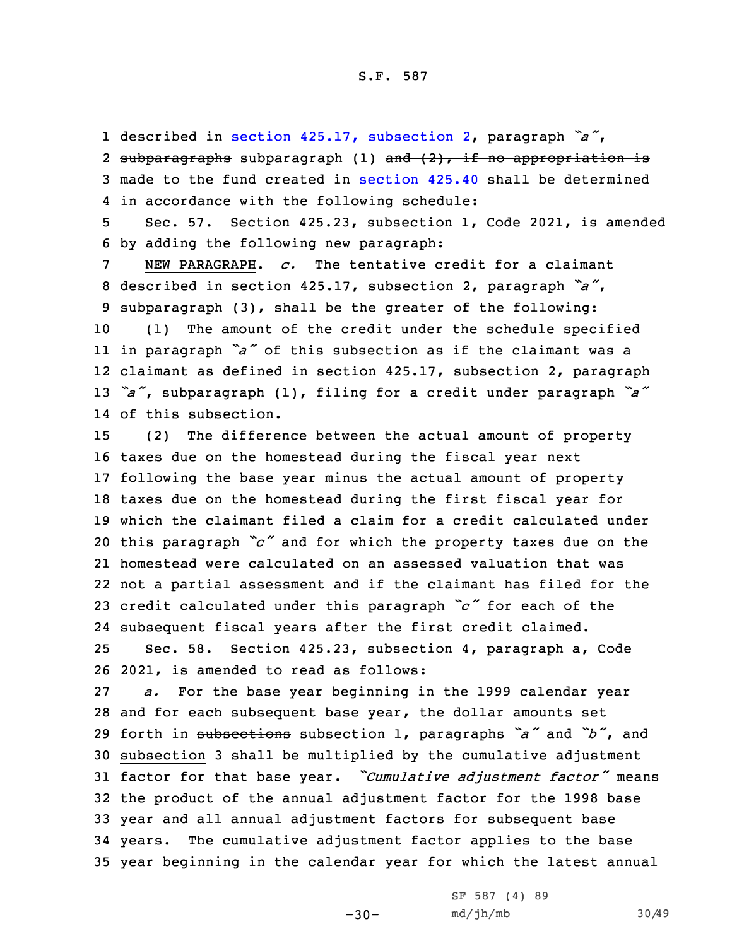1 described in section 425.17, [subsection](https://www.legis.iowa.gov/docs/code/2021/425.17.pdf) 2, paragraph *"a"*, 2 <del>subparagraphs</del> subparagraph (1) <del>and (2), if no appropriation is</del> 3 made to the fund created in [section](https://www.legis.iowa.gov/docs/code/2021/425.40.pdf) 425.40 shall be determined 4 in accordance with the following schedule:

5 Sec. 57. Section 425.23, subsection 1, Code 2021, is amended 6 by adding the following new paragraph:

 NEW PARAGRAPH. *c.* The tentative credit for <sup>a</sup> claimant described in section 425.17, subsection 2, paragraph *"a"*, subparagraph (3), shall be the greater of the following: (1) The amount of the credit under the schedule specified

 in paragraph *"a"* of this subsection as if the claimant was <sup>a</sup> claimant as defined in section 425.17, subsection 2, paragraph *"a"*, subparagraph (1), filing for <sup>a</sup> credit under paragraph *"a"* of this subsection.

 (2) The difference between the actual amount of property taxes due on the homestead during the fiscal year next following the base year minus the actual amount of property taxes due on the homestead during the first fiscal year for which the claimant filed <sup>a</sup> claim for <sup>a</sup> credit calculated under this paragraph *"c"* and for which the property taxes due on the homestead were calculated on an assessed valuation that was not <sup>a</sup> partial assessment and if the claimant has filed for the credit calculated under this paragraph *"c"* for each of the subsequent fiscal years after the first credit claimed.

25 Sec. 58. Section 425.23, subsection 4, paragraph a, Code 26 2021, is amended to read as follows:

 *a.* For the base year beginning in the 1999 calendar year and for each subsequent base year, the dollar amounts set forth in subsections subsection 1, paragraphs *"a"* and *"b"*, and subsection 3 shall be multiplied by the cumulative adjustment factor for that base year. *"Cumulative adjustment factor"* means the product of the annual adjustment factor for the 1998 base year and all annual adjustment factors for subsequent base years. The cumulative adjustment factor applies to the base year beginning in the calendar year for which the latest annual

 $-30-$ 

SF 587 (4) 89 md/jh/mb 30/49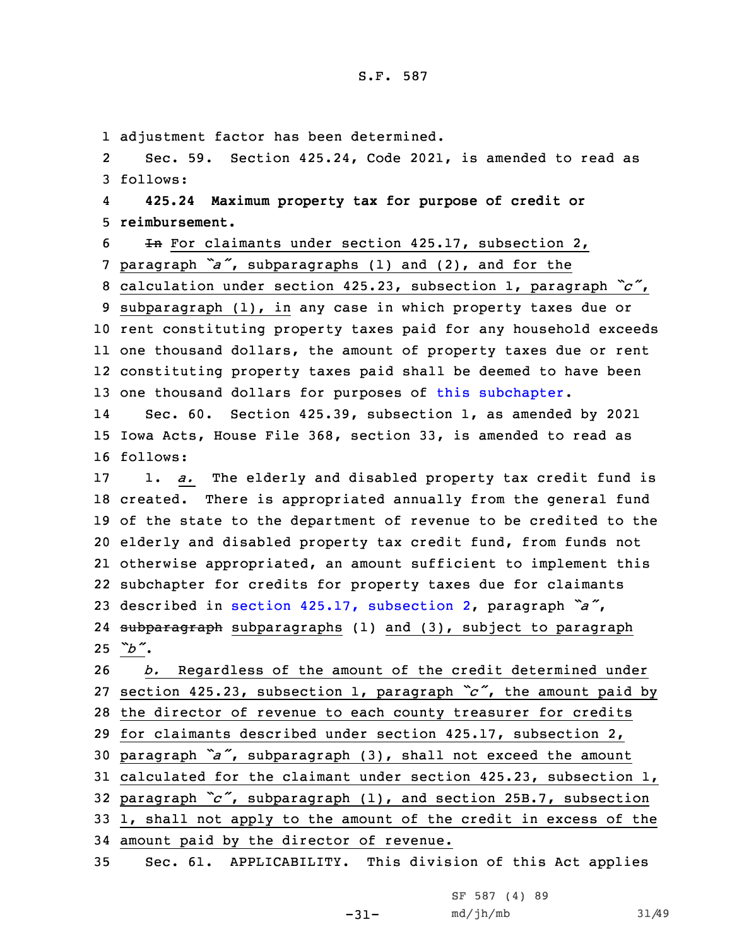1 adjustment factor has been determined.

2 Sec. 59. Section 425.24, Code 2021, is amended to read as 3 follows:

4 **425.24 Maximum property tax for purpose of credit or** 5 **reimbursement.**

6 In For claimants under section 425.17, subsection 2, <sup>7</sup> paragraph *"a"*, subparagraphs (1) and (2), and for the

 calculation under section 425.23, subsection 1, paragraph *"c"*, subparagraph (1), in any case in which property taxes due or rent constituting property taxes paid for any household exceeds one thousand dollars, the amount of property taxes due or rent constituting property taxes paid shall be deemed to have been one thousand dollars for purposes of this [subchapter](https://www.legis.iowa.gov/docs/code/2021/425.pdf).

14 Sec. 60. Section 425.39, subsection 1, as amended by 2021 15 Iowa Acts, House File 368, section 33, is amended to read as 16 follows:

 1. *a.* The elderly and disabled property tax credit fund is created. There is appropriated annually from the general fund of the state to the department of revenue to be credited to the elderly and disabled property tax credit fund, from funds not otherwise appropriated, an amount sufficient to implement this subchapter for credits for property taxes due for claimants described in section 425.17, [subsection](https://www.legis.iowa.gov/docs/code/2021/425.17.pdf) 2, paragraph *"a"*, 24 <del>subparagraph</del> subparagraphs (1) and (3), subject to paragraph 25 *"b"*.

 *b.* Regardless of the amount of the credit determined under section 425.23, subsection 1, paragraph *"c"*, the amount paid by the director of revenue to each county treasurer for credits for claimants described under section 425.17, subsection 2, paragraph *"a"*, subparagraph (3), shall not exceed the amount calculated for the claimant under section 425.23, subsection 1, paragraph *"c"*, subparagraph (1), and section 25B.7, subsection 1, shall not apply to the amount of the credit in excess of the amount paid by the director of revenue.

35 Sec. 61. APPLICABILITY. This division of this Act applies

-31-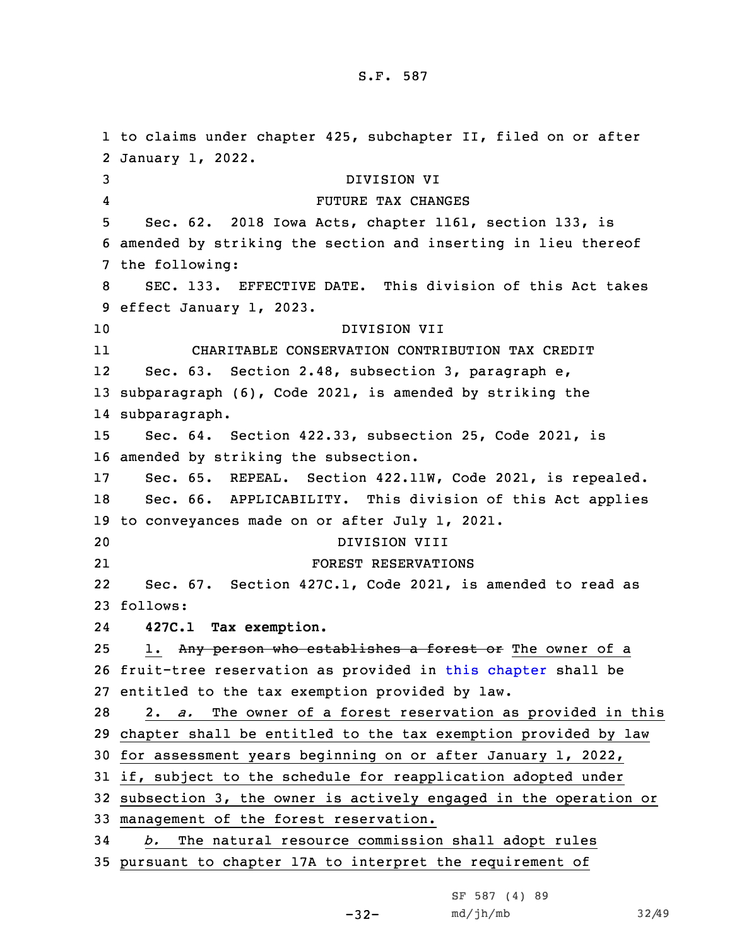## S.F. 587

 to claims under chapter 425, subchapter II, filed on or after January 1, 2022. DIVISION VI 4 FUTURE TAX CHANGES Sec. 62. 2018 Iowa Acts, chapter 1161, section 133, is amended by striking the section and inserting in lieu thereof the following: SEC. 133. EFFECTIVE DATE. This division of this Act takes effect January 1, 2023. DIVISION VII 11 CHARITABLE CONSERVATION CONTRIBUTION TAX CREDIT 12 Sec. 63. Section 2.48, subsection 3, paragraph e, subparagraph (6), Code 2021, is amended by striking the subparagraph. Sec. 64. Section 422.33, subsection 25, Code 2021, is amended by striking the subsection. Sec. 65. REPEAL. Section 422.11W, Code 2021, is repealed. Sec. 66. APPLICABILITY. This division of this Act applies to conveyances made on or after July 1, 2021. DIVISION VIII 21 FOREST RESERVATIONS 22 Sec. 67. Section 427C.1, Code 2021, is amended to read as 23 follows: 24 **427C.1 Tax exemption.** 25 1. Any person who establishes a forest or The owner of a fruit-tree reservation as provided in this [chapter](https://www.legis.iowa.gov/docs/code/2021/427C.pdf) shall be entitled to the tax exemption provided by law. 2. *a.* The owner of <sup>a</sup> forest reservation as provided in this chapter shall be entitled to the tax exemption provided by law for assessment years beginning on or after January 1, 2022, if, subject to the schedule for reapplication adopted under subsection 3, the owner is actively engaged in the operation or management of the forest reservation. *b.* The natural resource commission shall adopt rules pursuant to chapter 17A to interpret the requirement of

-32-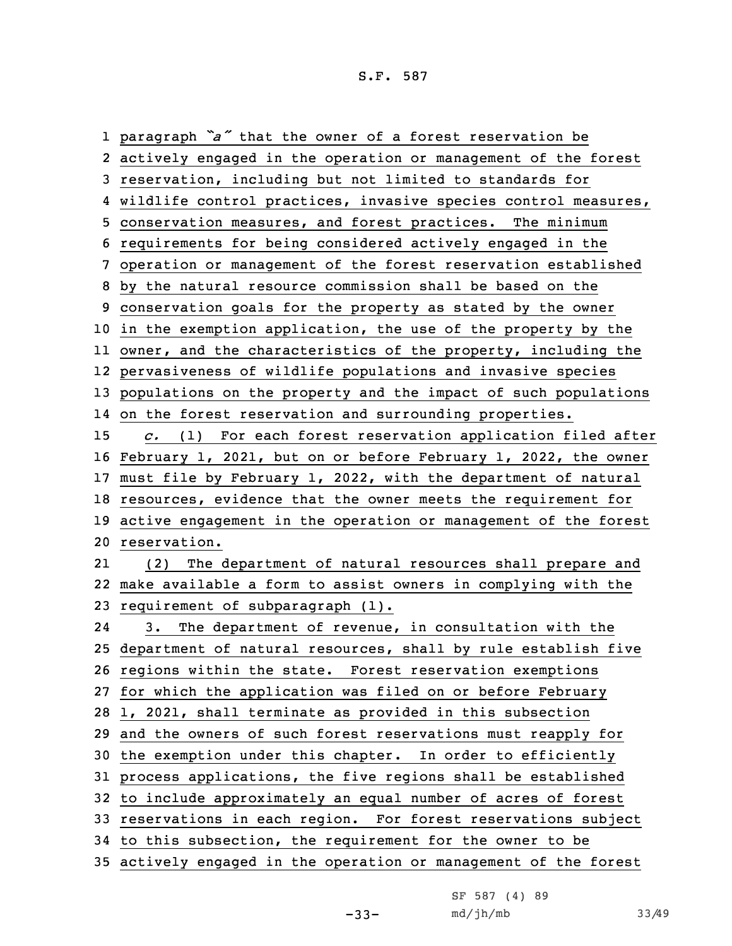paragraph *"a"* that the owner of <sup>a</sup> forest reservation be actively engaged in the operation or management of the forest reservation, including but not limited to standards for wildlife control practices, invasive species control measures, conservation measures, and forest practices. The minimum requirements for being considered actively engaged in the operation or management of the forest reservation established by the natural resource commission shall be based on the conservation goals for the property as stated by the owner in the exemption application, the use of the property by the owner, and the characteristics of the property, including the pervasiveness of wildlife populations and invasive species populations on the property and the impact of such populations on the forest reservation and surrounding properties. *c.* (1) For each forest reservation application filed after February 1, 2021, but on or before February 1, 2022, the owner must file by February 1, 2022, with the department of natural resources, evidence that the owner meets the requirement for active engagement in the operation or management of the forest reservation. 21 (2) The department of natural resources shall prepare and make available <sup>a</sup> form to assist owners in complying with the requirement of subparagraph (1). 24 3. The department of revenue, in consultation with the department of natural resources, shall by rule establish five regions within the state. Forest reservation exemptions for which the application was filed on or before February 1, 2021, shall terminate as provided in this subsection and the owners of such forest reservations must reapply for the exemption under this chapter. In order to efficiently process applications, the five regions shall be established to include approximately an equal number of acres of forest reservations in each region. For forest reservations subject to this subsection, the requirement for the owner to be actively engaged in the operation or management of the forest

-33-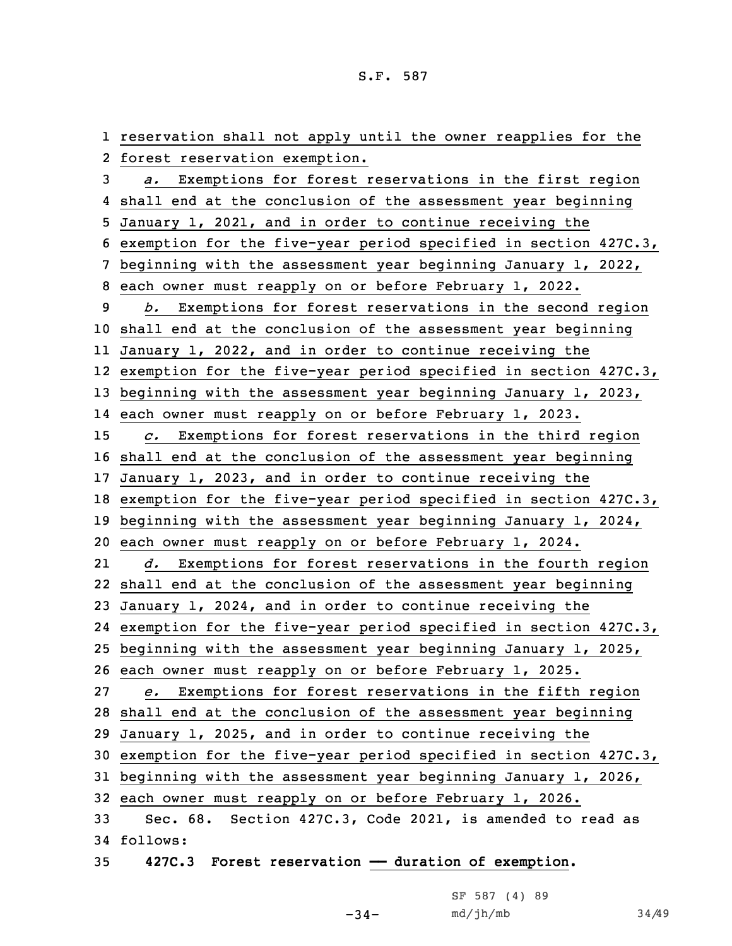reservation shall not apply until the owner reapplies for the forest reservation exemption. *a.* Exemptions for forest reservations in the first region shall end at the conclusion of the assessment year beginning January 1, 2021, and in order to continue receiving the exemption for the five-year period specified in section 427C.3, beginning with the assessment year beginning January 1, 2022, each owner must reapply on or before February 1, 2022. *b.* Exemptions for forest reservations in the second region shall end at the conclusion of the assessment year beginning January 1, 2022, and in order to continue receiving the exemption for the five-year period specified in section 427C.3, beginning with the assessment year beginning January 1, 2023, each owner must reapply on or before February 1, 2023. *c.* Exemptions for forest reservations in the third region shall end at the conclusion of the assessment year beginning January 1, 2023, and in order to continue receiving the exemption for the five-year period specified in section 427C.3, beginning with the assessment year beginning January 1, 2024, each owner must reapply on or before February 1, 2024. 21 *d.* Exemptions for forest reservations in the fourth region shall end at the conclusion of the assessment year beginning January 1, 2024, and in order to continue receiving the exemption for the five-year period specified in section 427C.3, beginning with the assessment year beginning January 1, 2025, each owner must reapply on or before February 1, 2025. *e.* Exemptions for forest reservations in the fifth region shall end at the conclusion of the assessment year beginning January 1, 2025, and in order to continue receiving the exemption for the five-year period specified in section 427C.3, beginning with the assessment year beginning January 1, 2026, each owner must reapply on or before February 1, 2026. Sec. 68. Section 427C.3, Code 2021, is amended to read as 34 follows: **427C.3 Forest reservation —— duration of exemption.**

|  | SF 587 (4) 89 |  |   |
|--|---------------|--|---|
|  | md/jh/mb      |  | 3 |

 $4/49$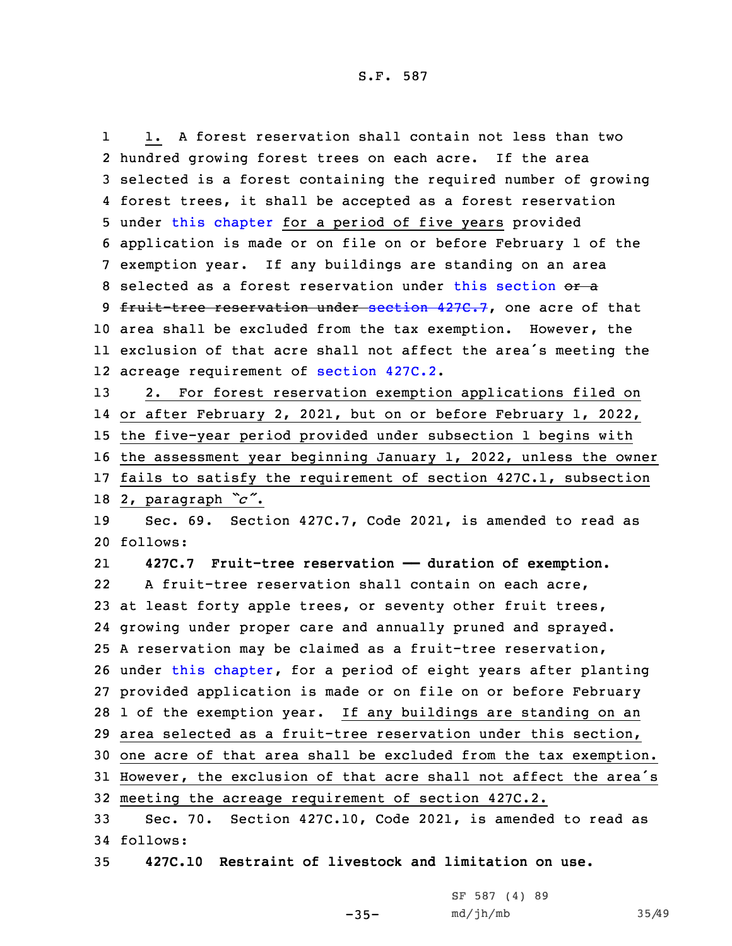1 1. A forest reservation shall contain not less than two hundred growing forest trees on each acre. If the area selected is <sup>a</sup> forest containing the required number of growing forest trees, it shall be accepted as <sup>a</sup> forest reservation under this [chapter](https://www.legis.iowa.gov/docs/code/2021/427C.pdf) for <sup>a</sup> period of five years provided application is made or on file on or before February 1 of the exemption year. If any buildings are standing on an area 8 selected as a forest reservation under this [section](https://www.legis.iowa.gov/docs/code/2021/427C.3.pdf) or a 9 fruit-tree reservation under [section](https://www.legis.iowa.gov/docs/code/2021/427C.7.pdf) 427C.7, one acre of that area shall be excluded from the tax exemption. However, the exclusion of that acre shall not affect the area's meeting the acreage requirement of [section](https://www.legis.iowa.gov/docs/code/2021/427C.2.pdf) 427C.2. 2. For forest reservation exemption applications filed on or after February 2, 2021, but on or before February 1, 2022, the five-year period provided under subsection 1 begins with the assessment year beginning January 1, 2022, unless the owner fails to satisfy the requirement of section 427C.1, subsection 2, paragraph *"c"*. Sec. 69. Section 427C.7, Code 2021, is amended to read as 20 follows: 21 **427C.7 Fruit-tree reservation —— duration of exemption.** 22 A fruit-tree reservation shall contain on each acre, at least forty apple trees, or seventy other fruit trees, growing under proper care and annually pruned and sprayed. <sup>A</sup> reservation may be claimed as <sup>a</sup> fruit-tree reservation, under this [chapter](https://www.legis.iowa.gov/docs/code/2021/427C.pdf), for <sup>a</sup> period of eight years after planting provided application is made or on file on or before February 1 of the exemption year. If any buildings are standing on an area selected as <sup>a</sup> fruit-tree reservation under this section, one acre of that area shall be excluded from the tax exemption. However, the exclusion of that acre shall not affect the area's meeting the acreage requirement of section 427C.2. Sec. 70. Section 427C.10, Code 2021, is amended to read as 34 follows:

35 **427C.10 Restraint of livestock and limitation on use.**

 $-35-$ 

| SF 587 (4) 89 |  |       |
|---------------|--|-------|
| md/jh/mb      |  | 35/49 |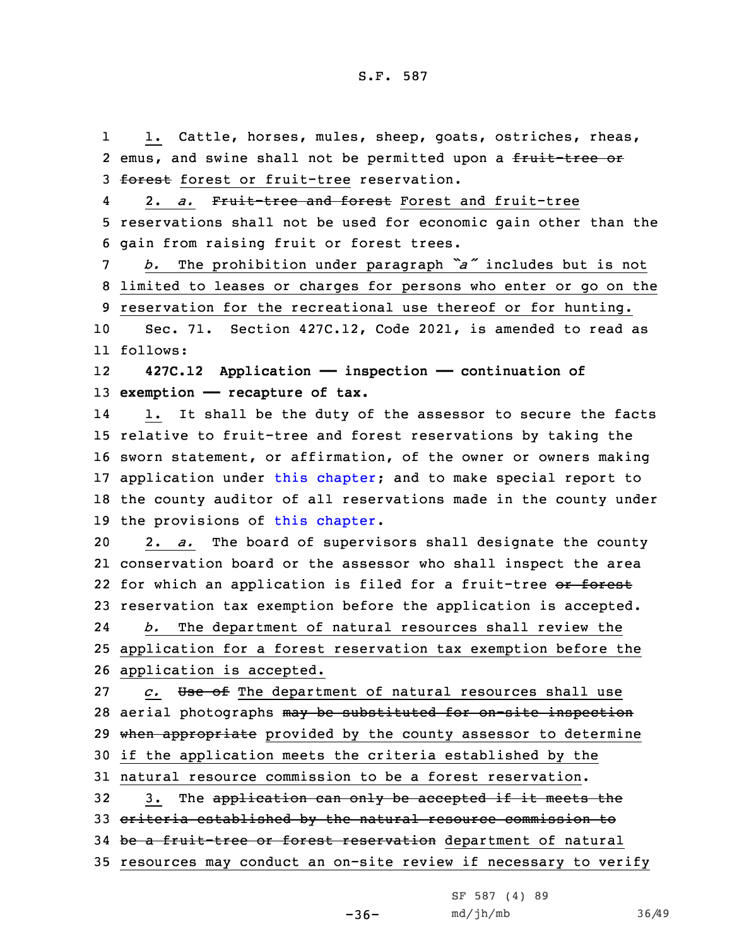1 1. Cattle, horses, mules, sheep, goats, ostriches, rheas, 2 emus, and swine shall not be permitted upon a <del>fruit-tree or</del> 3 forest forest or fruit-tree reservation. 42. *a.* Fruit-tree and forest Forest and fruit-tree

5 reservations shall not be used for economic gain other than the 6 gain from raising fruit or forest trees.

<sup>7</sup> *b.* The prohibition under paragraph *"a"* includes but is not 8 limited to leases or charges for persons who enter or go on the 9 reservation for the recreational use thereof or for hunting.

10 Sec. 71. Section 427C.12, Code 2021, is amended to read as 11 follows:

12 **427C.12 Application —— inspection —— continuation of** 13 **exemption —— recapture of tax.**

14 1. It shall be the duty of the assessor to secure the facts 15 relative to fruit-tree and forest reservations by taking the 16 sworn statement, or affirmation, of the owner or owners making 17 application under this [chapter](https://www.legis.iowa.gov/docs/code/2021/427C.pdf); and to make special report to 18 the county auditor of all reservations made in the county under 19 the provisions of this [chapter](https://www.legis.iowa.gov/docs/code/2021/427C.pdf).

 2. *a.* The board of supervisors shall designate the county conservation board or the assessor who shall inspect the area 22 for which an application is filed for a fruit-tree <del>or forest</del> reservation tax exemption before the application is accepted.

24 *b.* The department of natural resources shall review the 25 application for <sup>a</sup> forest reservation tax exemption before the 26 application is accepted.

27 *c.* Use of The department of natural resources shall use 28 aerial photographs may be substituted for on-site inspection 29 when appropriate provided by the county assessor to determine 30 if the application meets the criteria established by the 31 natural resource commission to be <sup>a</sup> forest reservation. 32 3. The application can only be accepted if it meets the 33 criteria established by the natural resource commission to 34 be a fruit-tree or forest reservation department of natural

35 resources may conduct an on-site review if necessary to verify

 $-36-$ 

SF 587 (4) 89 md/jh/mb 36/49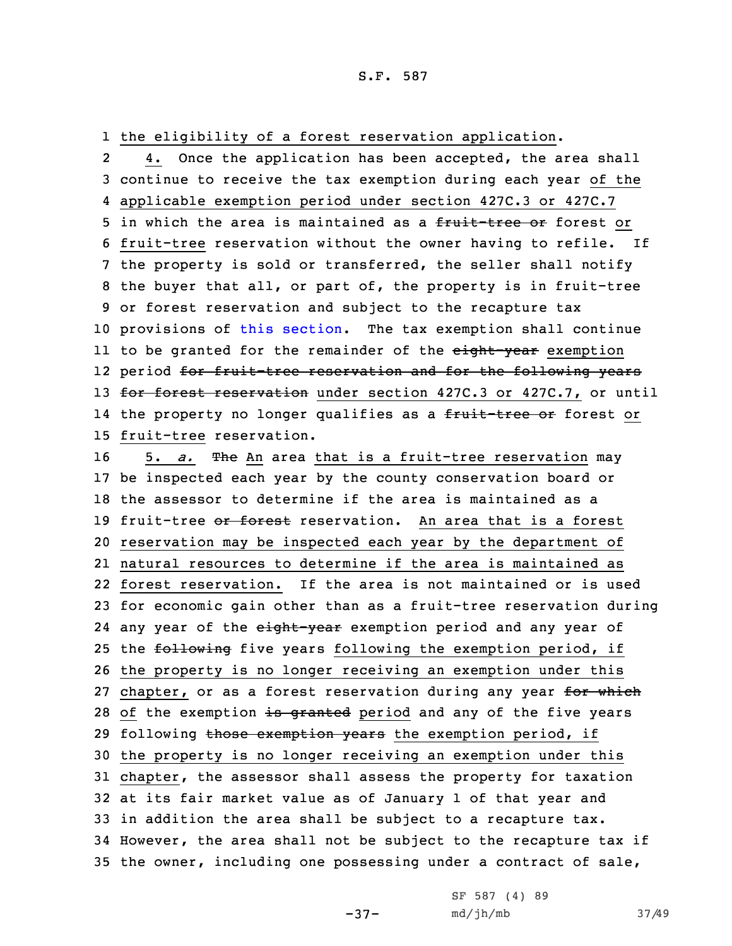1 the eligibility of <sup>a</sup> forest reservation application.

2 4. Once the application has been accepted, the area shall 3 continue to receive the tax exemption during each year of the 4 applicable exemption period under section 427C.3 or 427C.7 5 in which the area is maintained as a fruit-tree or forest or 6 fruit-tree reservation without the owner having to refile. If 7 the property is sold or transferred, the seller shall notify 8 the buyer that all, or part of, the property is in fruit-tree 9 or forest reservation and subject to the recapture tax 10 provisions of this [section](https://www.legis.iowa.gov/docs/code/2021/427C.12.pdf). The tax exemption shall continue ll to be granted for the remainder of the <del>eight-year</del> exemption l2 period <del>for fruit-tree reservation and for the following years</del> 13 for forest reservation under section 427C.3 or 427C.7, or until 14 the property no longer qualifies as a <del>fruit-tree or</del> forest or 15 fruit-tree reservation.

16 5. *a.* The An area that is a fruit-tree reservation may be inspected each year by the county conservation board or the assessor to determine if the area is maintained as <sup>a</sup> 19 fruit-tree or forest reservation. An area that is a forest reservation may be inspected each year by the department of natural resources to determine if the area is maintained as forest reservation. If the area is not maintained or is used for economic gain other than as <sup>a</sup> fruit-tree reservation during 24 any year of the <del>eight-year</del> exemption period and any year of 25 the following five years following the exemption period, if the property is no longer receiving an exemption under this 27 chapter, or as a forest reservation during any year for which 28 of the exemption is granted period and any of the five years 29 following those exemption years the exemption period, if the property is no longer receiving an exemption under this chapter, the assessor shall assess the property for taxation at its fair market value as of January 1 of that year and in addition the area shall be subject to <sup>a</sup> recapture tax. However, the area shall not be subject to the recapture tax if the owner, including one possessing under <sup>a</sup> contract of sale,

-37-

SF 587 (4) 89 md/jh/mb 37/49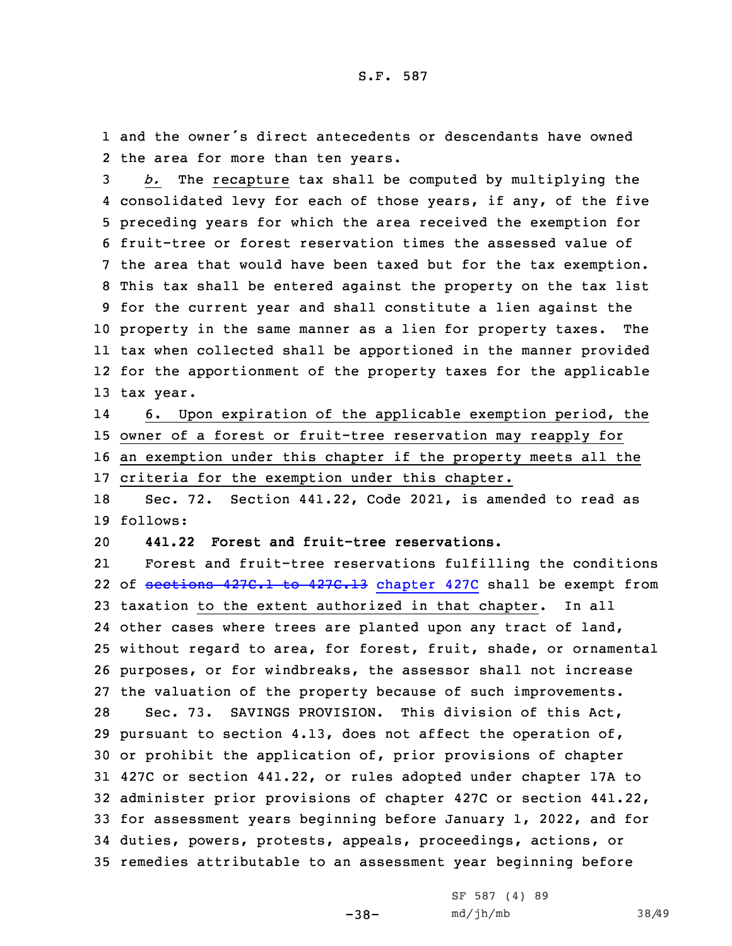1 and the owner's direct antecedents or descendants have owned 2 the area for more than ten years.

 *b.* The recapture tax shall be computed by multiplying the consolidated levy for each of those years, if any, of the five preceding years for which the area received the exemption for fruit-tree or forest reservation times the assessed value of the area that would have been taxed but for the tax exemption. This tax shall be entered against the property on the tax list for the current year and shall constitute <sup>a</sup> lien against the property in the same manner as <sup>a</sup> lien for property taxes. The tax when collected shall be apportioned in the manner provided for the apportionment of the property taxes for the applicable tax year.

14 6. Upon expiration of the applicable exemption period, the 15 owner of <sup>a</sup> forest or fruit-tree reservation may reapply for 16 an exemption under this chapter if the property meets all the

17 criteria for the exemption under this chapter.

18 Sec. 72. Section 441.22, Code 2021, is amended to read as 19 follows:

20 **441.22 Forest and fruit-tree reservations.**

21 Forest and fruit-tree reservations fulfilling the conditions 22 of <del>[sections](https://www.legis.iowa.gov/docs/code/2021/427C.1.pdf) 427C.1 to 427C.13</del> [chapter](https://www.legis.iowa.gov/docs/code/2021/427C.pdf) 427C shall be exempt from taxation to the extent authorized in that chapter. In all other cases where trees are planted upon any tract of land, without regard to area, for forest, fruit, shade, or ornamental purposes, or for windbreaks, the assessor shall not increase the valuation of the property because of such improvements. Sec. 73. SAVINGS PROVISION. This division of this Act, pursuant to section 4.13, does not affect the operation of, or prohibit the application of, prior provisions of chapter 427C or section 441.22, or rules adopted under chapter 17A to administer prior provisions of chapter 427C or section 441.22, for assessment years beginning before January 1, 2022, and for duties, powers, protests, appeals, proceedings, actions, or remedies attributable to an assessment year beginning before

-38-

SF 587 (4) 89 md/jh/mb 38/49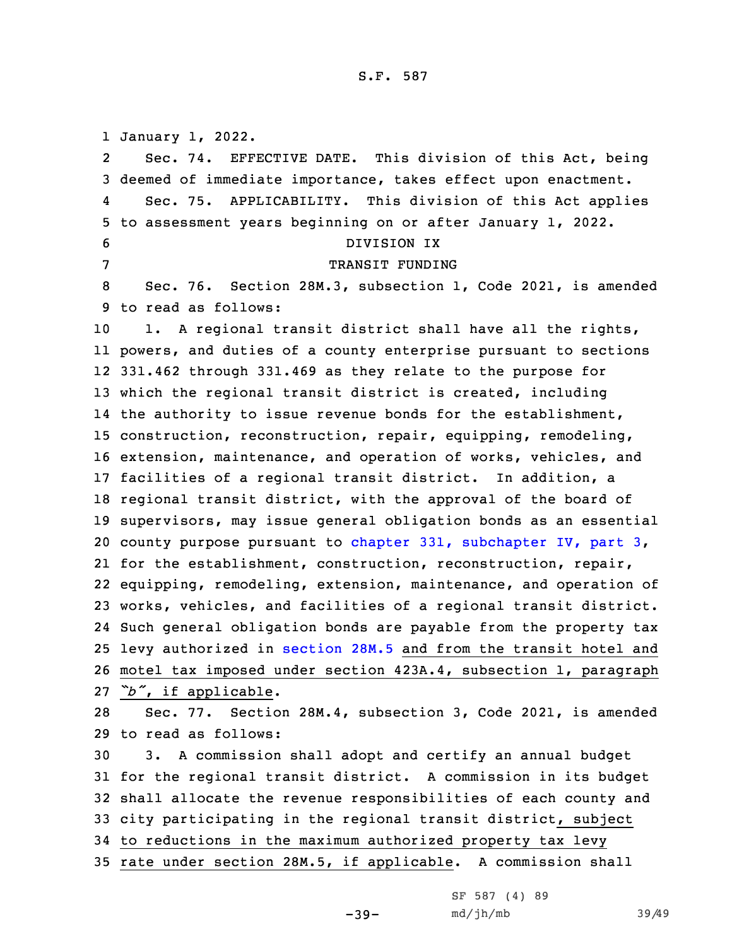January 1, 2022. 2 Sec. 74. EFFECTIVE DATE. This division of this Act, being deemed of immediate importance, takes effect upon enactment. 4 Sec. 75. APPLICABILITY. This division of this Act applies to assessment years beginning on or after January 1, 2022. DIVISION IX 7 TRANSIT FUNDING Sec. 76. Section 28M.3, subsection 1, Code 2021, is amended to read as follows: 1. <sup>A</sup> regional transit district shall have all the rights, powers, and duties of <sup>a</sup> county enterprise pursuant to sections 331.462 through 331.469 as they relate to the purpose for which the regional transit district is created, including 14 the authority to issue revenue bonds for the establishment, construction, reconstruction, repair, equipping, remodeling, extension, maintenance, and operation of works, vehicles, and facilities of <sup>a</sup> regional transit district. In addition, <sup>a</sup> regional transit district, with the approval of the board of supervisors, may issue general obligation bonds as an essential county purpose pursuant to chapter 331, [subchapter](https://www.legis.iowa.gov/docs/code/2021/331.pdf) IV, part 3, for the establishment, construction, reconstruction, repair, equipping, remodeling, extension, maintenance, and operation of works, vehicles, and facilities of <sup>a</sup> regional transit district. Such general obligation bonds are payable from the property tax levy authorized in [section](https://www.legis.iowa.gov/docs/code/2021/28M.5.pdf) 28M.5 and from the transit hotel and motel tax imposed under section 423A.4, subsection 1, paragraph *"b"*, if applicable. Sec. 77. Section 28M.4, subsection 3, Code 2021, is amended to read as follows: 3. <sup>A</sup> commission shall adopt and certify an annual budget for the regional transit district. <sup>A</sup> commission in its budget shall allocate the revenue responsibilities of each county and city participating in the regional transit district, subject to reductions in the maximum authorized property tax levy rate under section 28M.5, if applicable. <sup>A</sup> commission shall

 $-39-$ 

```
SF 587 (4) 89
md/jh/mb 39/49
```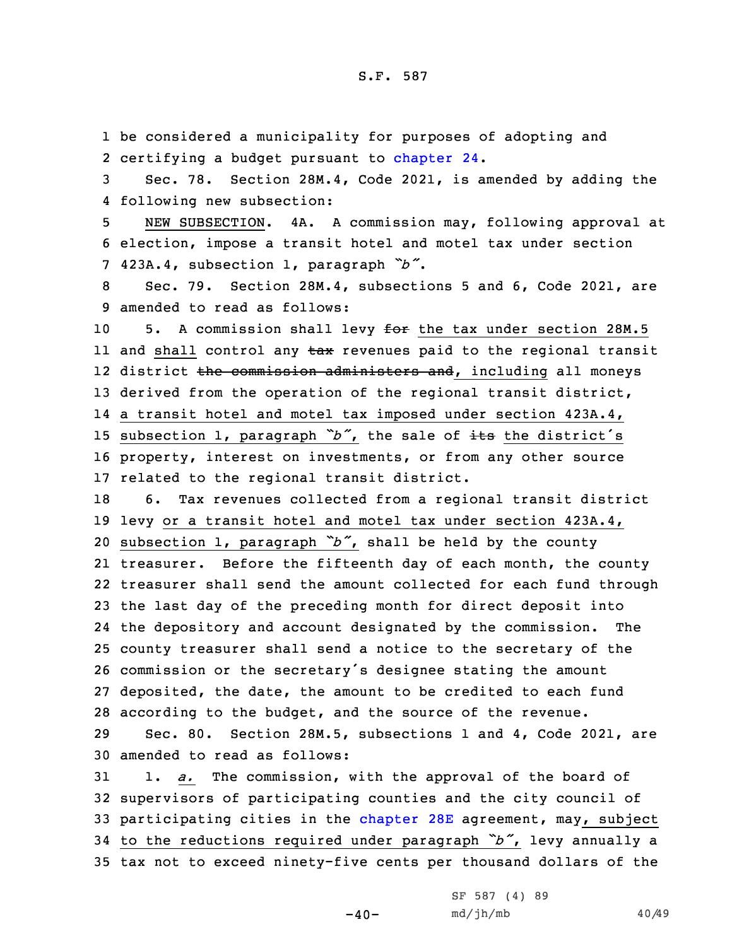1 be considered <sup>a</sup> municipality for purposes of adopting and 2 certifying a budget pursuant to [chapter](https://www.legis.iowa.gov/docs/code/2021/24.pdf) 24.

3 Sec. 78. Section 28M.4, Code 2021, is amended by adding the 4 following new subsection:

5 NEW SUBSECTION. 4A. <sup>A</sup> commission may, following approval at 6 election, impose <sup>a</sup> transit hotel and motel tax under section <sup>7</sup> 423A.4, subsection 1, paragraph *"b"*.

8 Sec. 79. Section 28M.4, subsections 5 and 6, Code 2021, are 9 amended to read as follows:

10 5. A commission shall levy for the tax under section 28M.5 ll and shall control any <del>tax</del> revenues paid to the regional transit 12 district <del>the commission administers and</del>, including all moneys 13 derived from the operation of the regional transit district, 14 <sup>a</sup> transit hotel and motel tax imposed under section 423A.4, 15 subsection 1, paragraph "b", the sale of its the district's 16 property, interest on investments, or from any other source 17 related to the regional transit district.

 6. Tax revenues collected from <sup>a</sup> regional transit district levy or <sup>a</sup> transit hotel and motel tax under section 423A.4, subsection 1, paragraph *"b"*, shall be held by the county treasurer. Before the fifteenth day of each month, the county treasurer shall send the amount collected for each fund through the last day of the preceding month for direct deposit into the depository and account designated by the commission. The county treasurer shall send <sup>a</sup> notice to the secretary of the commission or the secretary's designee stating the amount deposited, the date, the amount to be credited to each fund according to the budget, and the source of the revenue.

29 Sec. 80. Section 28M.5, subsections 1 and 4, Code 2021, are 30 amended to read as follows:

 1. *a.* The commission, with the approval of the board of supervisors of participating counties and the city council of 33 participating cities in the [chapter](https://www.legis.iowa.gov/docs/code/2021/28E.pdf) 28E agreement, may, subject to the reductions required under paragraph *"b"*, levy annually <sup>a</sup> tax not to exceed ninety-five cents per thousand dollars of the

 $-40-$ 

| SF 587 (4) 89 |  |  |
|---------------|--|--|
| md/jh/mb      |  |  |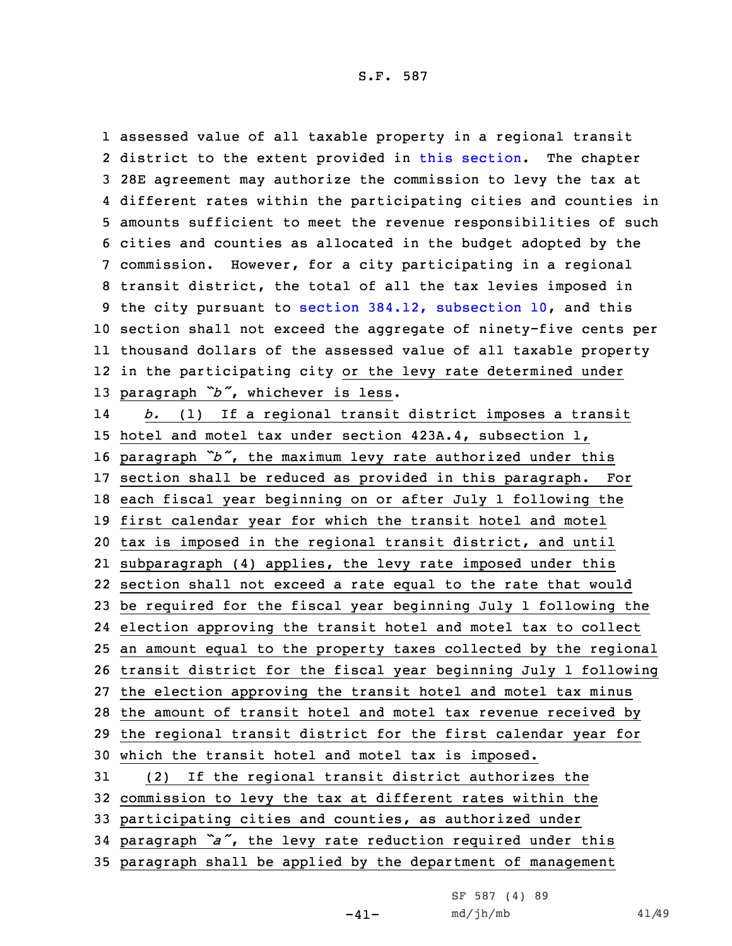assessed value of all taxable property in <sup>a</sup> regional transit 2 district to the extent provided in this [section](https://www.legis.iowa.gov/docs/code/2021/28M.5.pdf). The chapter 28E agreement may authorize the commission to levy the tax at different rates within the participating cities and counties in amounts sufficient to meet the revenue responsibilities of such cities and counties as allocated in the budget adopted by the commission. However, for <sup>a</sup> city participating in <sup>a</sup> regional transit district, the total of all the tax levies imposed in the city pursuant to section 384.12, [subsection](https://www.legis.iowa.gov/docs/code/2021/384.12.pdf) 10, and this section shall not exceed the aggregate of ninety-five cents per thousand dollars of the assessed value of all taxable property in the participating city or the levy rate determined under paragraph *"b"*, whichever is less. 14 *b.* (1) If <sup>a</sup> regional transit district imposes <sup>a</sup> transit hotel and motel tax under section 423A.4, subsection 1, paragraph *"b"*, the maximum levy rate authorized under this section shall be reduced as provided in this paragraph. For each fiscal year beginning on or after July 1 following the first calendar year for which the transit hotel and motel tax is imposed in the regional transit district, and until subparagraph (4) applies, the levy rate imposed under this section shall not exceed <sup>a</sup> rate equal to the rate that would be required for the fiscal year beginning July 1 following the election approving the transit hotel and motel tax to collect an amount equal to the property taxes collected by the regional transit district for the fiscal year beginning July 1 following the election approving the transit hotel and motel tax minus the amount of transit hotel and motel tax revenue received by the regional transit district for the first calendar year for which the transit hotel and motel tax is imposed. (2) If the regional transit district authorizes the commission to levy the tax at different rates within the participating cities and counties, as authorized under paragraph *"a"*, the levy rate reduction required under this paragraph shall be applied by the department of management

 $-41-$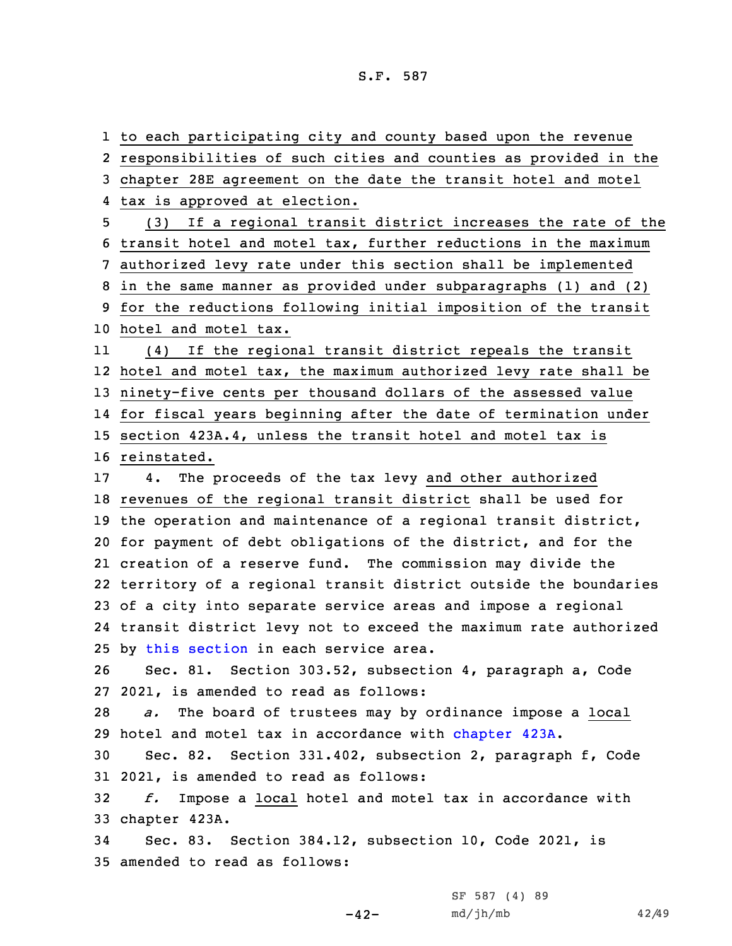to each participating city and county based upon the revenue responsibilities of such cities and counties as provided in the chapter 28E agreement on the date the transit hotel and motel tax is approved at election. (3) If <sup>a</sup> regional transit district increases the rate of the transit hotel and motel tax, further reductions in the maximum authorized levy rate under this section shall be implemented in the same manner as provided under subparagraphs (1) and (2) for the reductions following initial imposition of the transit hotel and motel tax. 11 (4) If the regional transit district repeals the transit hotel and motel tax, the maximum authorized levy rate shall be ninety-five cents per thousand dollars of the assessed value for fiscal years beginning after the date of termination under section 423A.4, unless the transit hotel and motel tax is reinstated. 4. The proceeds of the tax levy and other authorized revenues of the regional transit district shall be used for the operation and maintenance of <sup>a</sup> regional transit district, for payment of debt obligations of the district, and for the creation of <sup>a</sup> reserve fund. The commission may divide the territory of <sup>a</sup> regional transit district outside the boundaries of <sup>a</sup> city into separate service areas and impose <sup>a</sup> regional transit district levy not to exceed the maximum rate authorized by this [section](https://www.legis.iowa.gov/docs/code/2021/28M.5.pdf) in each service area. Sec. 81. Section 303.52, subsection 4, paragraph a, Code 2021, is amended to read as follows: *a.* The board of trustees may by ordinance impose <sup>a</sup> local hotel and motel tax in accordance with [chapter](https://www.legis.iowa.gov/docs/code/2021/423A.pdf) 423A. Sec. 82. Section 331.402, subsection 2, paragraph f, Code 2021, is amended to read as follows: *f.* Impose <sup>a</sup> local hotel and motel tax in accordance with chapter 423A. Sec. 83. Section 384.12, subsection 10, Code 2021, is amended to read as follows:

-42-

SF 587 (4) 89 md/jh/mb 42/49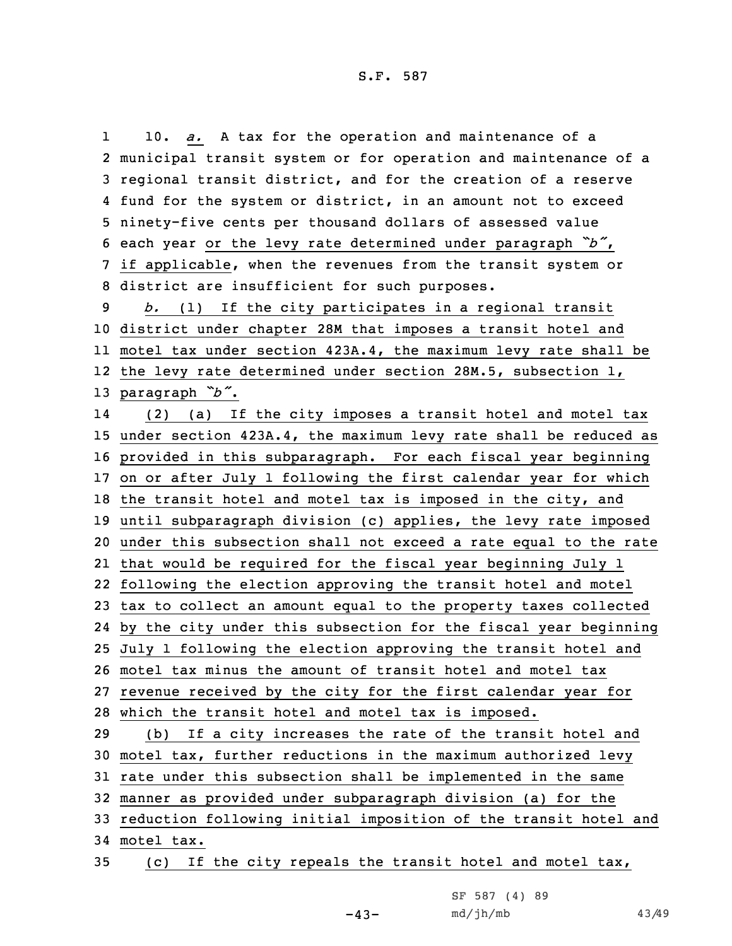1 10. *a.* <sup>A</sup> tax for the operation and maintenance of <sup>a</sup> municipal transit system or for operation and maintenance of <sup>a</sup> regional transit district, and for the creation of <sup>a</sup> reserve fund for the system or district, in an amount not to exceed ninety-five cents per thousand dollars of assessed value each year or the levy rate determined under paragraph *"b"*, if applicable, when the revenues from the transit system or district are insufficient for such purposes. *b.* (1) If the city participates in <sup>a</sup> regional transit district under chapter 28M that imposes <sup>a</sup> transit hotel and motel tax under section 423A.4, the maximum levy rate shall be the levy rate determined under section 28M.5, subsection 1, paragraph *"b"*. 14 (2) (a) If the city imposes <sup>a</sup> transit hotel and motel tax under section 423A.4, the maximum levy rate shall be reduced as provided in this subparagraph. For each fiscal year beginning on or after July 1 following the first calendar year for which 18 the transit hotel and motel tax is imposed in the city, and until subparagraph division (c) applies, the levy rate imposed under this subsection shall not exceed <sup>a</sup> rate equal to the rate that would be required for the fiscal year beginning July 1 following the election approving the transit hotel and motel tax to collect an amount equal to the property taxes collected by the city under this subsection for the fiscal year beginning July 1 following the election approving the transit hotel and motel tax minus the amount of transit hotel and motel tax revenue received by the city for the first calendar year for which the transit hotel and motel tax is imposed. (b) If <sup>a</sup> city increases the rate of the transit hotel and motel tax, further reductions in the maximum authorized levy rate under this subsection shall be implemented in the same manner as provided under subparagraph division (a) for the reduction following initial imposition of the transit hotel and motel tax.

35 (c) If the city repeals the transit hotel and motel tax,

 $-43-$ 

| SF 587 (4) 89 |  |
|---------------|--|
| md/jh/mb      |  |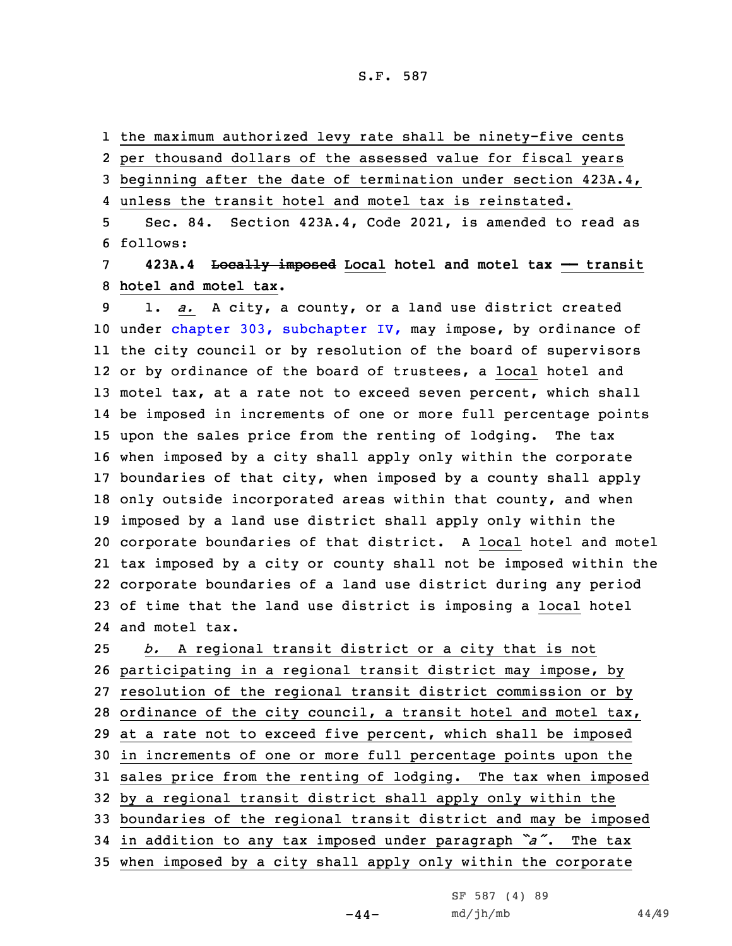S.F. 587

1 the maximum authorized levy rate shall be ninety-five cents

2 per thousand dollars of the assessed value for fiscal years

3 beginning after the date of termination under section 423A.4,

4 unless the transit hotel and motel tax is reinstated.

5 Sec. 84. Section 423A.4, Code 2021, is amended to read as 6 follows:

7 **423A.4 Locally imposed Local hotel and motel tax —— transit** 8 **hotel and motel tax.**

 1. *a.* <sup>A</sup> city, <sup>a</sup> county, or <sup>a</sup> land use district created 10 under chapter 303, [subchapter](https://www.legis.iowa.gov/docs/code/2021/303.pdf) IV, may impose, by ordinance of the city council or by resolution of the board of supervisors or by ordinance of the board of trustees, <sup>a</sup> local hotel and motel tax, at <sup>a</sup> rate not to exceed seven percent, which shall be imposed in increments of one or more full percentage points upon the sales price from the renting of lodging. The tax when imposed by <sup>a</sup> city shall apply only within the corporate boundaries of that city, when imposed by <sup>a</sup> county shall apply only outside incorporated areas within that county, and when imposed by <sup>a</sup> land use district shall apply only within the corporate boundaries of that district. <sup>A</sup> local hotel and motel tax imposed by <sup>a</sup> city or county shall not be imposed within the corporate boundaries of <sup>a</sup> land use district during any period of time that the land use district is imposing <sup>a</sup> local hotel and motel tax.

 *b.* <sup>A</sup> regional transit district or <sup>a</sup> city that is not participating in <sup>a</sup> regional transit district may impose, by resolution of the regional transit district commission or by ordinance of the city council, <sup>a</sup> transit hotel and motel tax, at <sup>a</sup> rate not to exceed five percent, which shall be imposed in increments of one or more full percentage points upon the sales price from the renting of lodging. The tax when imposed by <sup>a</sup> regional transit district shall apply only within the boundaries of the regional transit district and may be imposed in addition to any tax imposed under paragraph *"a"*. The tax when imposed by <sup>a</sup> city shall apply only within the corporate

 $-44-$ 

SF 587 (4) 89 md/jh/mb 44/49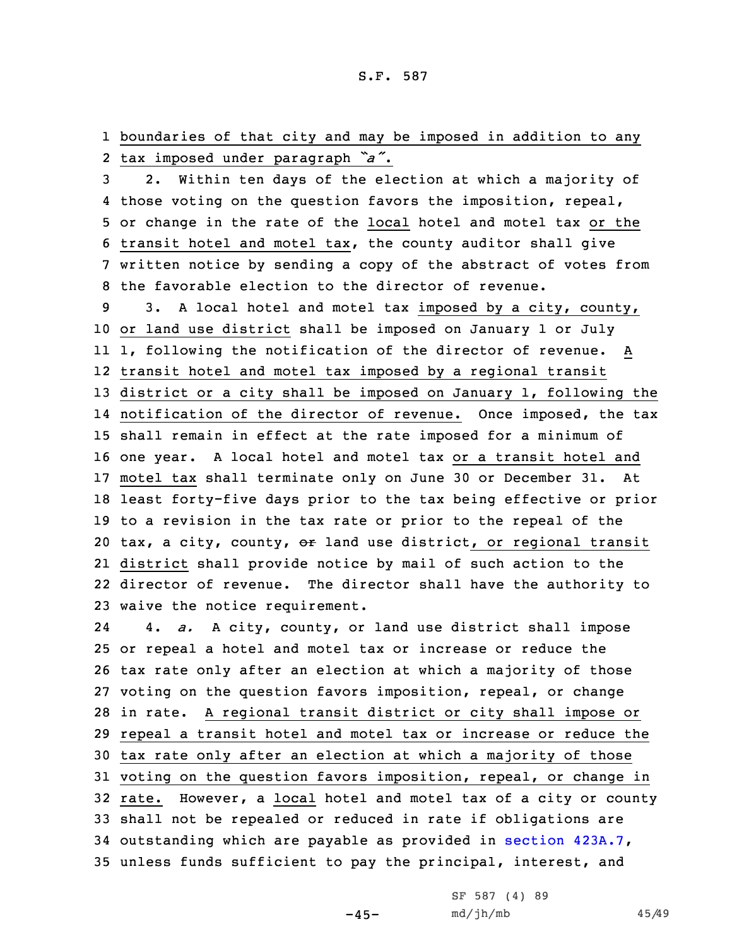1 boundaries of that city and may be imposed in addition to any 2 tax imposed under paragraph *"a"*.

 2. Within ten days of the election at which <sup>a</sup> majority of those voting on the question favors the imposition, repeal, or change in the rate of the local hotel and motel tax or the transit hotel and motel tax, the county auditor shall give written notice by sending <sup>a</sup> copy of the abstract of votes from the favorable election to the director of revenue.

 3. <sup>A</sup> local hotel and motel tax imposed by <sup>a</sup> city, county, or land use district shall be imposed on January 1 or July 1, following the notification of the director of revenue. <sup>A</sup> transit hotel and motel tax imposed by <sup>a</sup> regional transit district or <sup>a</sup> city shall be imposed on January 1, following the notification of the director of revenue. Once imposed, the tax shall remain in effect at the rate imposed for <sup>a</sup> minimum of one year. <sup>A</sup> local hotel and motel tax or <sup>a</sup> transit hotel and motel tax shall terminate only on June 30 or December 31. At least forty-five days prior to the tax being effective or prior to <sup>a</sup> revision in the tax rate or prior to the repeal of the 20 tax, a city, county,  $\Theta$ r land use district, or regional transit district shall provide notice by mail of such action to the director of revenue. The director shall have the authority to waive the notice requirement.

24 4. *a.* <sup>A</sup> city, county, or land use district shall impose or repeal <sup>a</sup> hotel and motel tax or increase or reduce the tax rate only after an election at which <sup>a</sup> majority of those voting on the question favors imposition, repeal, or change in rate. <sup>A</sup> regional transit district or city shall impose or repeal <sup>a</sup> transit hotel and motel tax or increase or reduce the tax rate only after an election at which <sup>a</sup> majority of those voting on the question favors imposition, repeal, or change in rate. However, <sup>a</sup> local hotel and motel tax of <sup>a</sup> city or county shall not be repealed or reduced in rate if obligations are outstanding which are payable as provided in section [423A.7](https://www.legis.iowa.gov/docs/code/2021/423A.7.pdf), unless funds sufficient to pay the principal, interest, and

 $-45-$ 

SF 587 (4) 89 md/jh/mb 45/49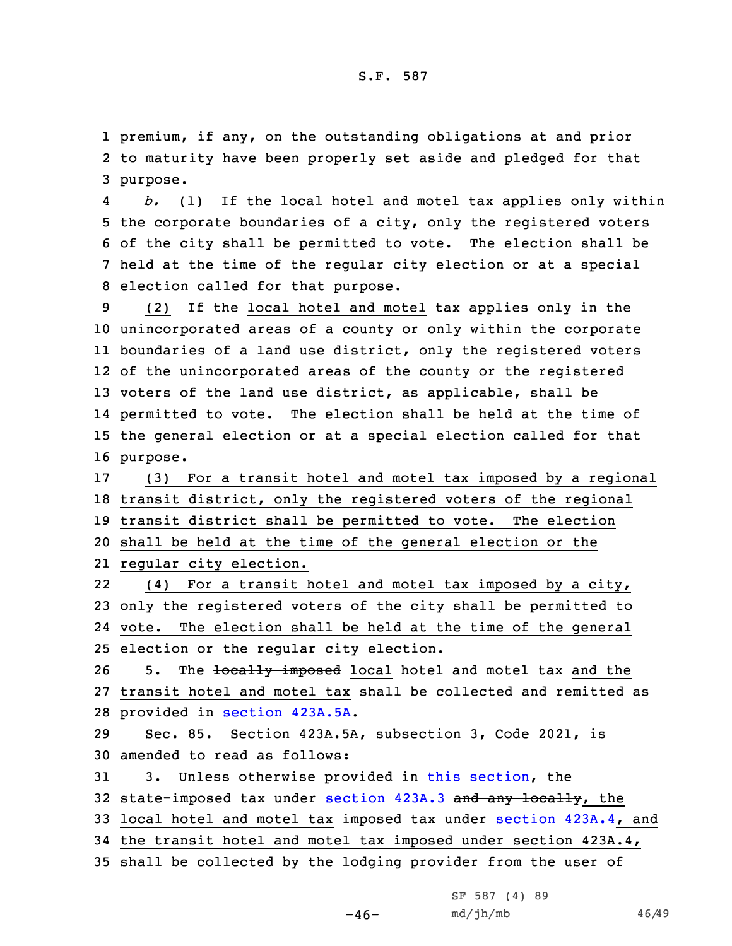1 premium, if any, on the outstanding obligations at and prior 2 to maturity have been properly set aside and pledged for that 3 purpose.

4 *b.* (1) If the local hotel and motel tax applies only within the corporate boundaries of <sup>a</sup> city, only the registered voters of the city shall be permitted to vote. The election shall be held at the time of the regular city election or at <sup>a</sup> special election called for that purpose.

 (2) If the local hotel and motel tax applies only in the unincorporated areas of <sup>a</sup> county or only within the corporate boundaries of <sup>a</sup> land use district, only the registered voters of the unincorporated areas of the county or the registered voters of the land use district, as applicable, shall be permitted to vote. The election shall be held at the time of the general election or at <sup>a</sup> special election called for that 16 purpose.

 (3) For <sup>a</sup> transit hotel and motel tax imposed by <sup>a</sup> regional transit district, only the registered voters of the regional transit district shall be permitted to vote. The election shall be held at the time of the general election or the regular city election.

22 (4) For <sup>a</sup> transit hotel and motel tax imposed by <sup>a</sup> city, 23 only the registered voters of the city shall be permitted to 24 vote. The election shall be held at the time of the general 25 election or the regular city election.

26 5. The locally imposed local hotel and motel tax and the 27 transit hotel and motel tax shall be collected and remitted as 28 provided in section [423A.5A](https://www.legis.iowa.gov/docs/code/2021/423A.5A.pdf).

29 Sec. 85. Section 423A.5A, subsection 3, Code 2021, is 30 amended to read as follows:

 3. Unless otherwise provided in this [section](https://www.legis.iowa.gov/docs/code/2021/423A.5A.pdf), the 32 state-imposed tax under [section](https://www.legis.iowa.gov/docs/code/2021/423A.3.pdf)  $423A.3$  and any locally, the local hotel and motel tax imposed tax under section [423A.4](https://www.legis.iowa.gov/docs/code/2021/423A.4.pdf), and the transit hotel and motel tax imposed under section 423A.4, shall be collected by the lodging provider from the user of

 $-46-$ 

|          | SF 587 (4) 89 |  |  |
|----------|---------------|--|--|
| md/jh/mb |               |  |  |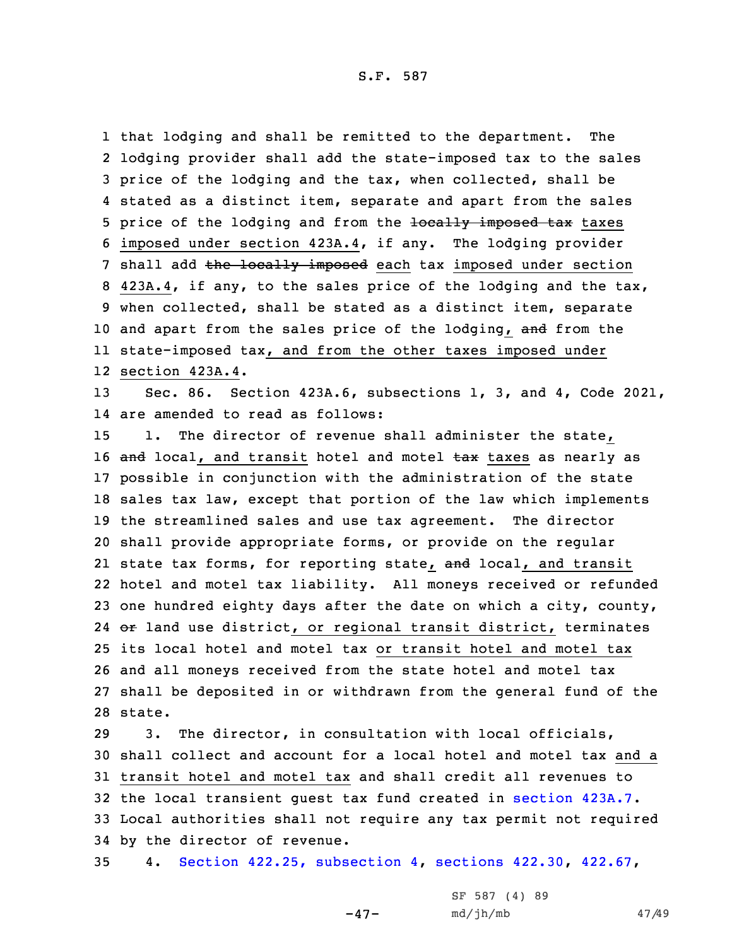S.F. 587

 that lodging and shall be remitted to the department. The lodging provider shall add the state-imposed tax to the sales price of the lodging and the tax, when collected, shall be stated as <sup>a</sup> distinct item, separate and apart from the sales 5 price of the lodging and from the locally imposed tax taxes imposed under section 423A.4, if any. The lodging provider 7 shall add the locally imposed each tax imposed under section 423A.4, if any, to the sales price of the lodging and the tax, when collected, shall be stated as <sup>a</sup> distinct item, separate 10 and apart from the sales price of the lodging, and from the state-imposed tax, and from the other taxes imposed under section 423A.4.

13 Sec. 86. Section 423A.6, subsections 1, 3, and 4, Code 2021, 14 are amended to read as follows:

 1. The director of revenue shall administer the state, 16 and local, and transit hotel and motel tax taxes as nearly as possible in conjunction with the administration of the state sales tax law, except that portion of the law which implements the streamlined sales and use tax agreement. The director shall provide appropriate forms, or provide on the regular 21 state tax forms, for reporting state, <del>and</del> local, and transit hotel and motel tax liability. All moneys received or refunded one hundred eighty days after the date on which <sup>a</sup> city, county, 24 or land use district, or regional transit district, terminates its local hotel and motel tax or transit hotel and motel tax and all moneys received from the state hotel and motel tax shall be deposited in or withdrawn from the general fund of the 28 state.

 3. The director, in consultation with local officials, shall collect and account for a local hotel and motel tax and a transit hotel and motel tax and shall credit all revenues to the local transient guest tax fund created in [section](https://www.legis.iowa.gov/docs/code/2021/423A.7.pdf) 423A.7. Local authorities shall not require any tax permit not required by the director of revenue.

35 4. Section 422.25, [subsection](https://www.legis.iowa.gov/docs/code/2021/422.25.pdf) 4, [sections](https://www.legis.iowa.gov/docs/code/2021/422.30.pdf) 422.30, [422.67](https://www.legis.iowa.gov/docs/code/2021/422.67.pdf),

-47-

SF 587 (4) 89 md/jh/mb 47/49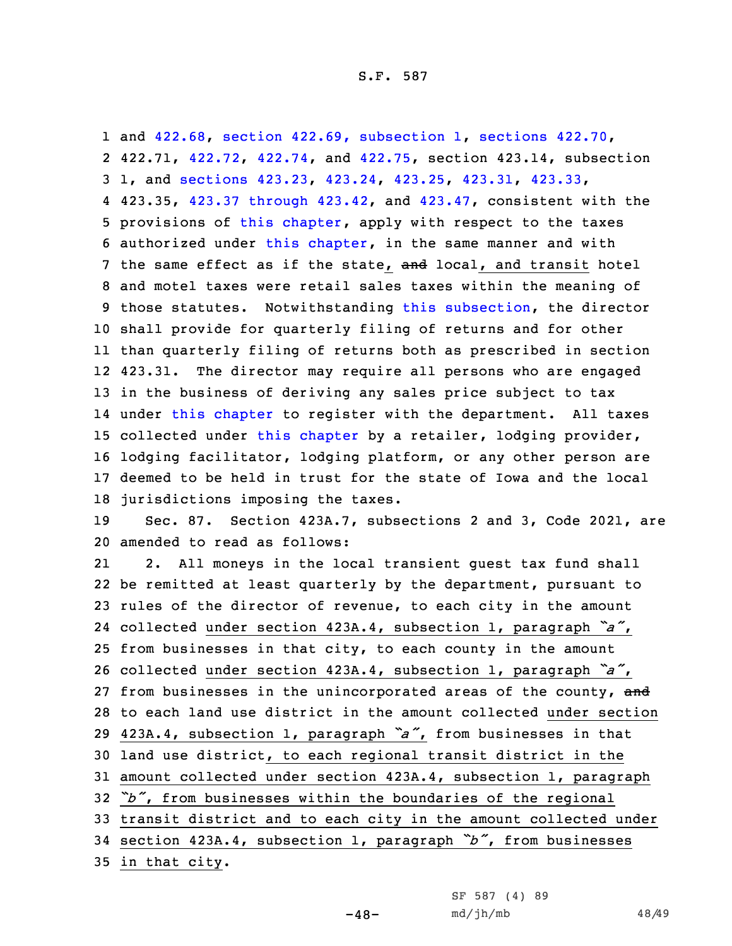and [422.68](https://www.legis.iowa.gov/docs/code/2021/422.68.pdf), section 422.69, [subsection](https://www.legis.iowa.gov/docs/code/2021/422.69.pdf) 1, [sections](https://www.legis.iowa.gov/docs/code/2021/422.70.pdf) 422.70, 422.71, [422.72](https://www.legis.iowa.gov/docs/code/2021/422.72.pdf), [422.74](https://www.legis.iowa.gov/docs/code/2021/422.74.pdf), and [422.75](https://www.legis.iowa.gov/docs/code/2021/422.75.pdf), section 423.14, subsection 1, and [sections](https://www.legis.iowa.gov/docs/code/2021/423.23.pdf) 423.23, [423.24](https://www.legis.iowa.gov/docs/code/2021/423.24.pdf), [423.25](https://www.legis.iowa.gov/docs/code/2021/423.25.pdf), [423.31](https://www.legis.iowa.gov/docs/code/2021/423.31.pdf), [423.33](https://www.legis.iowa.gov/docs/code/2021/423.33.pdf), 423.35, 423.37 [through](https://www.legis.iowa.gov/docs/code/2021/423.37.pdf) 423.42, and [423.47](https://www.legis.iowa.gov/docs/code/2021/423.47.pdf), consistent with the provisions of this [chapter](https://www.legis.iowa.gov/docs/code/2021/423A.pdf), apply with respect to the taxes authorized under this [chapter](https://www.legis.iowa.gov/docs/code/2021/423A.pdf), in the same manner and with 7 the same effect as if the state, and local, and transit hotel and motel taxes were retail sales taxes within the meaning of those statutes. Notwithstanding this [subsection](https://www.legis.iowa.gov/docs/code/2021/423A.6.pdf), the director shall provide for quarterly filing of returns and for other than quarterly filing of returns both as prescribed in section 12 423.31. The director may require all persons who are engaged in the business of deriving any sales price subject to tax under this [chapter](https://www.legis.iowa.gov/docs/code/2021/423A.pdf) to register with the department. All taxes collected under this [chapter](https://www.legis.iowa.gov/docs/code/2021/423A.pdf) by <sup>a</sup> retailer, lodging provider, lodging facilitator, lodging platform, or any other person are deemed to be held in trust for the state of Iowa and the local jurisdictions imposing the taxes.

19 Sec. 87. Section 423A.7, subsections 2 and 3, Code 2021, are 20 amended to read as follows:

21 2. All moneys in the local transient guest tax fund shall be remitted at least quarterly by the department, pursuant to rules of the director of revenue, to each city in the amount collected under section 423A.4, subsection 1, paragraph *"a"*, from businesses in that city, to each county in the amount collected under section 423A.4, subsection 1, paragraph *"a"*, 27 from businesses in the unincorporated areas of the county, and to each land use district in the amount collected under section 423A.4, subsection 1, paragraph *"a"*, from businesses in that land use district, to each regional transit district in the amount collected under section 423A.4, subsection 1, paragraph *"b"*, from businesses within the boundaries of the regional transit district and to each city in the amount collected under section 423A.4, subsection 1, paragraph *"b"*, from businesses

 $-48-$ 

35 in that city.

SF 587 (4) 89 md/jh/mb 48/49